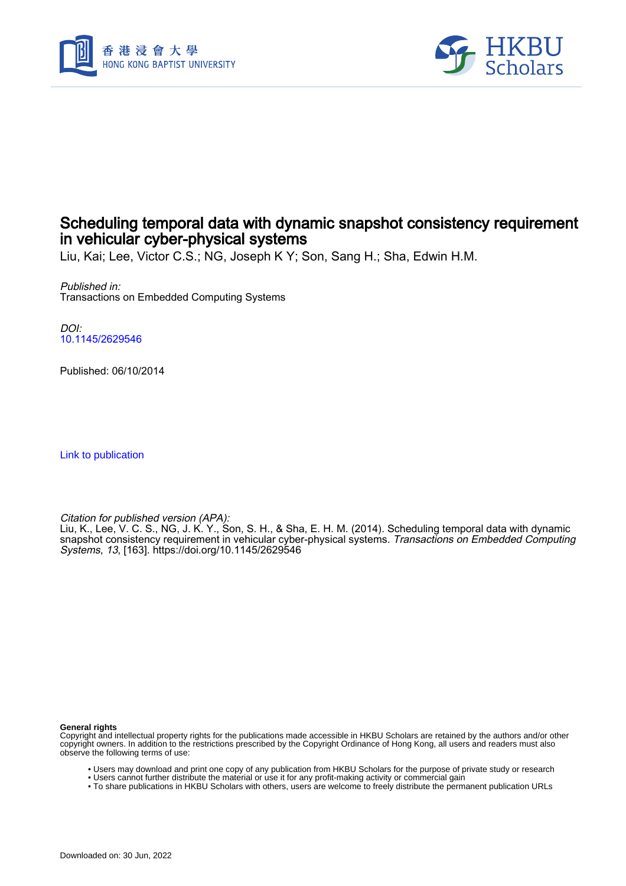



# Scheduling temporal data with dynamic snapshot consistency requirement in vehicular cyber-physical systems

Liu, Kai; Lee, Victor C.S.; NG, Joseph K Y; Son, Sang H.; Sha, Edwin H.M.

Published in: Transactions on Embedded Computing Systems

DOI: [10.1145/2629546](https://doi.org/10.1145/2629546)

Published: 06/10/2014

[Link to publication](https://scholars.hkbu.edu.hk/en/publications/a499179c-c433-4db7-a04f-8e448cf851a6)

Citation for published version (APA):

Liu, K., Lee, V. C. S., NG, J. K. Y., Son, S. H., & Sha, E. H. M. (2014). Scheduling temporal data with dynamic snapshot consistency requirement in vehicular cyber-physical systems. *Transactions on Embedded Computing* Systems, 13, [163].<https://doi.org/10.1145/2629546>

**General rights**

Copyright and intellectual property rights for the publications made accessible in HKBU Scholars are retained by the authors and/or other copyright owners. In addition to the restrictions prescribed by the Copyright Ordinance of Hong Kong, all users and readers must also observe the following terms of use:

- Users may download and print one copy of any publication from HKBU Scholars for the purpose of private study or research
- Users cannot further distribute the material or use it for any profit-making activity or commercial gain
- To share publications in HKBU Scholars with others, users are welcome to freely distribute the permanent publication URLs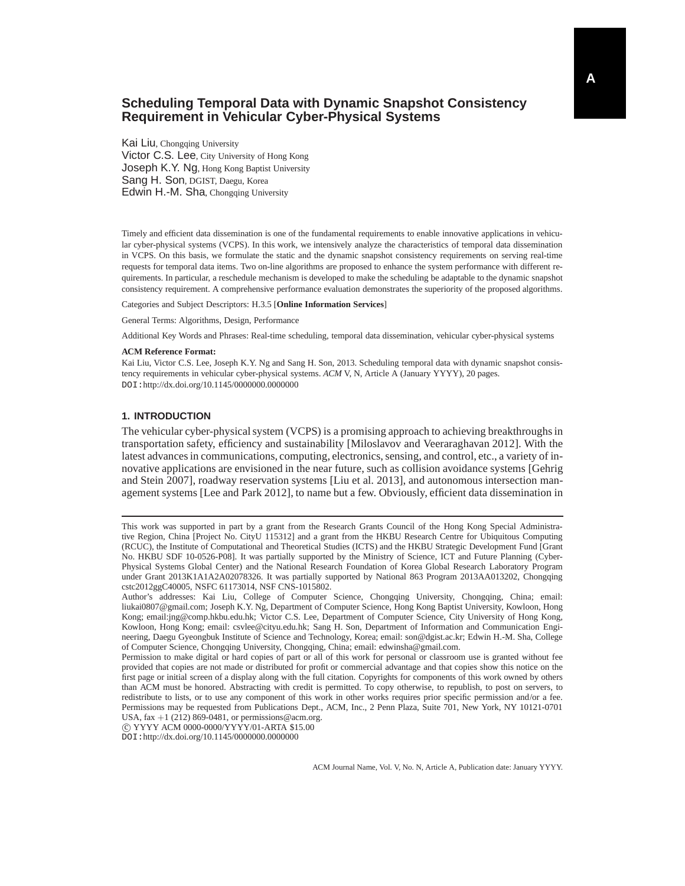# **Scheduling Temporal Data with Dynamic Snapshot Consistency Requirement in Vehicular Cyber-Physical Systems**

Kai Liu, Chongqing University Victor C.S. Lee, City University of Hong Kong Joseph K.Y. Ng, Hong Kong Baptist University Sang H. Son, DGIST, Daegu, Korea Edwin H.-M. Sha, Chongqing University

Timely and efficient data dissemination is one of the fundamental requirements to enable innovative applications in vehicular cyber-physical systems (VCPS). In this work, we intensively analyze the characteristics of temporal data dissemination in VCPS. On this basis, we formulate the static and the dynamic snapshot consistency requirements on serving real-time requests for temporal data items. Two on-line algorithms are proposed to enhance the system performance with different requirements. In particular, a reschedule mechanism is developed to make the scheduling be adaptable to the dynamic snapshot consistency requirement. A comprehensive performance evaluation demonstrates the superiority of the proposed algorithms.

Categories and Subject Descriptors: H.3.5 [**Online Information Services**]

General Terms: Algorithms, Design, Performance

Additional Key Words and Phrases: Real-time scheduling, temporal data dissemination, vehicular cyber-physical systems

#### **ACM Reference Format:**

Kai Liu, Victor C.S. Lee, Joseph K.Y. Ng and Sang H. Son, 2013. Scheduling temporal data with dynamic snapshot consistency requirements in vehicular cyber-physical systems. *ACM* V, N, Article A (January YYYY), 20 pages. DOI:http://dx.doi.org/10.1145/0000000.0000000

## **1. INTRODUCTION**

The vehicular cyber-physical system (VCPS) is a promising approach to achieving breakthroughs in transportation safety, efficiency and sustainability [Miloslavov and Veeraraghavan 2012]. With the latest advances in communications, computing, electronics, sensing, and control, etc., a variety of innovative applications are envisioned in the near future, such as collision avoidance systems [Gehrig and Stein 2007], roadway reservation systems [Liu et al. 2013], and autonomous intersection management systems [Lee and Park 2012], to name but a few. Obviously, efficient data dissemination in

c YYYY ACM 0000-0000/YYYY/01-ARTA \$15.00

DOI:http://dx.doi.org/10.1145/0000000.0000000

This work was supported in part by a grant from the Research Grants Council of the Hong Kong Special Administrative Region, China [Project No. CityU 115312] and a grant from the HKBU Research Centre for Ubiquitous Computing (RCUC), the Institute of Computational and Theoretical Studies (ICTS) and the HKBU Strategic Development Fund [Grant No. HKBU SDF 10-0526-P08]. It was partially supported by the Ministry of Science, ICT and Future Planning (Cyber-Physical Systems Global Center) and the National Research Foundation of Korea Global Research Laboratory Program under Grant 2013K1A1A2A02078326. It was partially supported by National 863 Program 2013AA013202, Chongqing cstc2012ggC40005, NSFC 61173014, NSF CNS-1015802.

Author's addresses: Kai Liu, College of Computer Science, Chongqing University, Chongqing, China; email: liukai0807@gmail.com; Joseph K.Y. Ng, Department of Computer Science, Hong Kong Baptist University, Kowloon, Hong Kong; email:jng@comp.hkbu.edu.hk; Victor C.S. Lee, Department of Computer Science, City University of Hong Kong, Kowloon, Hong Kong; email: csvlee@cityu.edu.hk; Sang H. Son, Department of Information and Communication Engineering, Daegu Gyeongbuk Institute of Science and Technology, Korea; email: son@dgist.ac.kr; Edwin H.-M. Sha, College of Computer Science, Chongqing University, Chongqing, China; email: edwinsha@gmail.com.

Permission to make digital or hard copies of part or all of this work for personal or classroom use is granted without fee provided that copies are not made or distributed for profit or commercial advantage and that copies show this notice on the first page or initial screen of a display along with the full citation. Copyrights for components of this work owned by others than ACM must be honored. Abstracting with credit is permitted. To copy otherwise, to republish, to post on servers, to redistribute to lists, or to use any component of this work in other works requires prior specific permission and/or a fee. Permissions may be requested from Publications Dept., ACM, Inc., 2 Penn Plaza, Suite 701, New York, NY 10121-0701 USA, fax  $+1$  (212) 869-0481, or permissions@acm.org.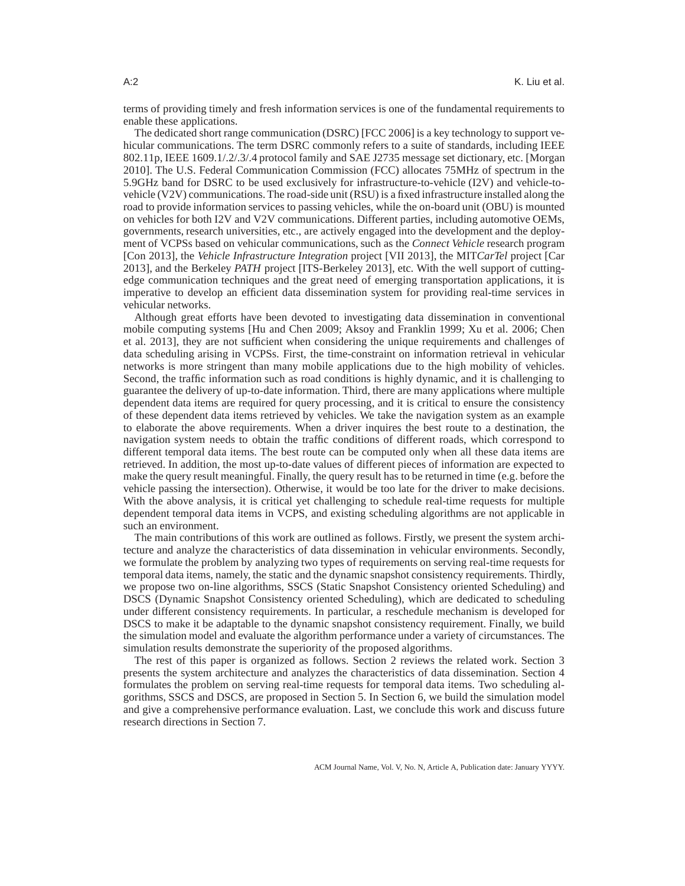terms of providing timely and fresh information services is one of the fundamental requirements to enable these applications.

The dedicated short range communication (DSRC) [FCC 2006] is a key technology to support vehicular communications. The term DSRC commonly refers to a suite of standards, including IEEE 802.11p, IEEE 1609.1/.2/.3/.4 protocol family and SAE J2735 message set dictionary, etc. [Morgan 2010]. The U.S. Federal Communication Commission (FCC) allocates 75MHz of spectrum in the 5.9GHz band for DSRC to be used exclusively for infrastructure-to-vehicle (I2V) and vehicle-tovehicle (V2V) communications. The road-side unit (RSU) is a fixed infrastructure installed along the road to provide information services to passing vehicles, while the on-board unit (OBU) is mounted on vehicles for both I2V and V2V communications. Different parties, including automotive OEMs, governments, research universities, etc., are actively engaged into the development and the deployment of VCPSs based on vehicular communications, such as the *Connect Vehicle* research program [Con 2013], the *Vehicle Infrastructure Integration* project [VII 2013], the MIT*CarTel* project [Car 2013], and the Berkeley *PATH* project [ITS-Berkeley 2013], etc. With the well support of cuttingedge communication techniques and the great need of emerging transportation applications, it is imperative to develop an efficient data dissemination system for providing real-time services in vehicular networks.

Although great efforts have been devoted to investigating data dissemination in conventional mobile computing systems [Hu and Chen 2009; Aksoy and Franklin 1999; Xu et al. 2006; Chen et al. 2013], they are not sufficient when considering the unique requirements and challenges of data scheduling arising in VCPSs. First, the time-constraint on information retrieval in vehicular networks is more stringent than many mobile applications due to the high mobility of vehicles. Second, the traffic information such as road conditions is highly dynamic, and it is challenging to guarantee the delivery of up-to-date information. Third, there are many applications where multiple dependent data items are required for query processing, and it is critical to ensure the consistency of these dependent data items retrieved by vehicles. We take the navigation system as an example to elaborate the above requirements. When a driver inquires the best route to a destination, the navigation system needs to obtain the traffic conditions of different roads, which correspond to different temporal data items. The best route can be computed only when all these data items are retrieved. In addition, the most up-to-date values of different pieces of information are expected to make the query result meaningful. Finally, the query result has to be returned in time (e.g. before the vehicle passing the intersection). Otherwise, it would be too late for the driver to make decisions. With the above analysis, it is critical yet challenging to schedule real-time requests for multiple dependent temporal data items in VCPS, and existing scheduling algorithms are not applicable in such an environment.

The main contributions of this work are outlined as follows. Firstly, we present the system architecture and analyze the characteristics of data dissemination in vehicular environments. Secondly, we formulate the problem by analyzing two types of requirements on serving real-time requests for temporal data items, namely, the static and the dynamic snapshot consistency requirements. Thirdly, we propose two on-line algorithms, SSCS (Static Snapshot Consistency oriented Scheduling) and DSCS (Dynamic Snapshot Consistency oriented Scheduling), which are dedicated to scheduling under different consistency requirements. In particular, a reschedule mechanism is developed for DSCS to make it be adaptable to the dynamic snapshot consistency requirement. Finally, we build the simulation model and evaluate the algorithm performance under a variety of circumstances. The simulation results demonstrate the superiority of the proposed algorithms.

The rest of this paper is organized as follows. Section 2 reviews the related work. Section 3 presents the system architecture and analyzes the characteristics of data dissemination. Section 4 formulates the problem on serving real-time requests for temporal data items. Two scheduling algorithms, SSCS and DSCS, are proposed in Section 5. In Section 6, we build the simulation model and give a comprehensive performance evaluation. Last, we conclude this work and discuss future research directions in Section 7.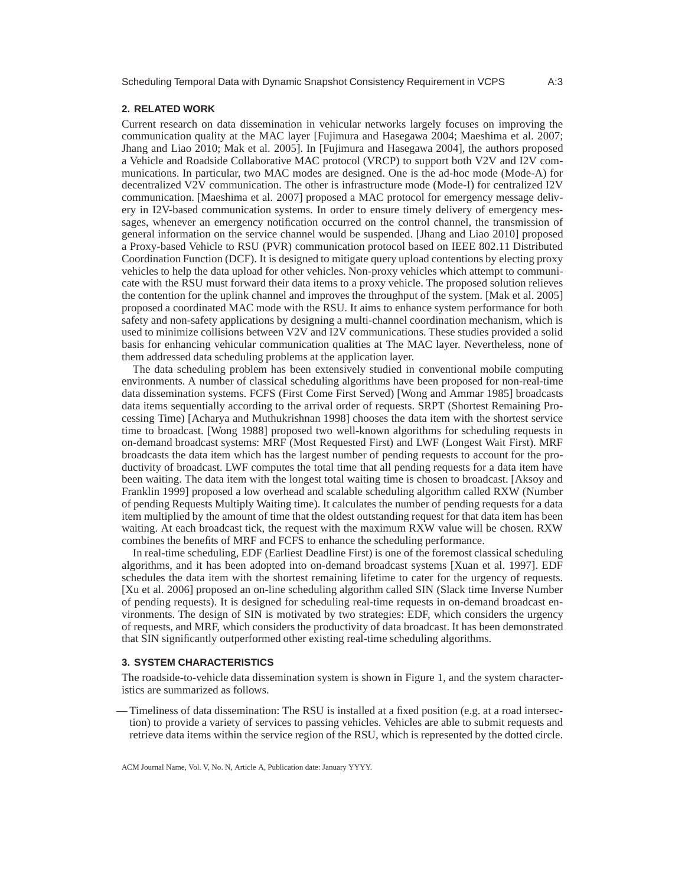#### **2. RELATED WORK**

Current research on data dissemination in vehicular networks largely focuses on improving the communication quality at the MAC layer [Fujimura and Hasegawa 2004; Maeshima et al. 2007; Jhang and Liao 2010; Mak et al. 2005]. In [Fujimura and Hasegawa 2004], the authors proposed a Vehicle and Roadside Collaborative MAC protocol (VRCP) to support both V2V and I2V communications. In particular, two MAC modes are designed. One is the ad-hoc mode (Mode-A) for decentralized V2V communication. The other is infrastructure mode (Mode-I) for centralized I2V communication. [Maeshima et al. 2007] proposed a MAC protocol for emergency message delivery in I2V-based communication systems. In order to ensure timely delivery of emergency messages, whenever an emergency notification occurred on the control channel, the transmission of general information on the service channel would be suspended. [Jhang and Liao 2010] proposed a Proxy-based Vehicle to RSU (PVR) communication protocol based on IEEE 802.11 Distributed Coordination Function (DCF). It is designed to mitigate query upload contentions by electing proxy vehicles to help the data upload for other vehicles. Non-proxy vehicles which attempt to communicate with the RSU must forward their data items to a proxy vehicle. The proposed solution relieves the contention for the uplink channel and improves the throughput of the system. [Mak et al. 2005] proposed a coordinated MAC mode with the RSU. It aims to enhance system performance for both safety and non-safety applications by designing a multi-channel coordination mechanism, which is used to minimize collisions between V2V and I2V communications. These studies provided a solid basis for enhancing vehicular communication qualities at The MAC layer. Nevertheless, none of them addressed data scheduling problems at the application layer.

The data scheduling problem has been extensively studied in conventional mobile computing environments. A number of classical scheduling algorithms have been proposed for non-real-time data dissemination systems. FCFS (First Come First Served) [Wong and Ammar 1985] broadcasts data items sequentially according to the arrival order of requests. SRPT (Shortest Remaining Processing Time) [Acharya and Muthukrishnan 1998] chooses the data item with the shortest service time to broadcast. [Wong 1988] proposed two well-known algorithms for scheduling requests in on-demand broadcast systems: MRF (Most Requested First) and LWF (Longest Wait First). MRF broadcasts the data item which has the largest number of pending requests to account for the productivity of broadcast. LWF computes the total time that all pending requests for a data item have been waiting. The data item with the longest total waiting time is chosen to broadcast. [Aksoy and Franklin 1999] proposed a low overhead and scalable scheduling algorithm called RXW (Number of pending Requests Multiply Waiting time). It calculates the number of pending requests for a data item multiplied by the amount of time that the oldest outstanding request for that data item has been waiting. At each broadcast tick, the request with the maximum RXW value will be chosen. RXW combines the benefits of MRF and FCFS to enhance the scheduling performance.

In real-time scheduling, EDF (Earliest Deadline First) is one of the foremost classical scheduling algorithms, and it has been adopted into on-demand broadcast systems [Xuan et al. 1997]. EDF schedules the data item with the shortest remaining lifetime to cater for the urgency of requests. [Xu et al. 2006] proposed an on-line scheduling algorithm called SIN (Slack time Inverse Number of pending requests). It is designed for scheduling real-time requests in on-demand broadcast environments. The design of SIN is motivated by two strategies: EDF, which considers the urgency of requests, and MRF, which considers the productivity of data broadcast. It has been demonstrated that SIN significantly outperformed other existing real-time scheduling algorithms.

#### **3. SYSTEM CHARACTERISTICS**

The roadside-to-vehicle data dissemination system is shown in Figure 1, and the system characteristics are summarized as follows.

— Timeliness of data dissemination: The RSU is installed at a fixed position (e.g. at a road intersection) to provide a variety of services to passing vehicles. Vehicles are able to submit requests and retrieve data items within the service region of the RSU, which is represented by the dotted circle.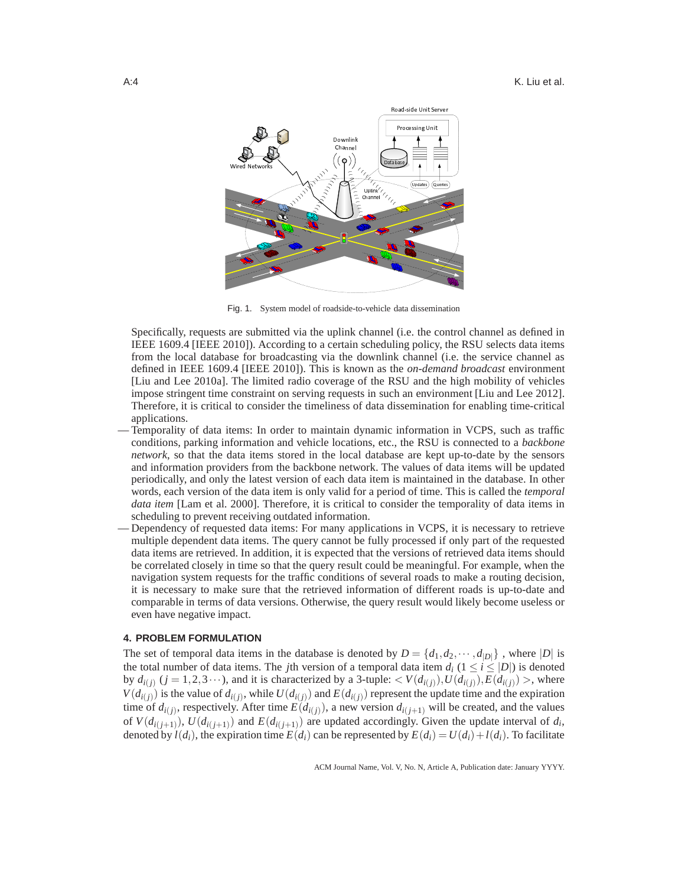

Fig. 1. System model of roadside-to-vehicle data dissemination

- Specifically, requests are submitted via the uplink channel (i.e. the control channel as defined in IEEE 1609.4 [IEEE 2010]). According to a certain scheduling policy, the RSU selects data items from the local database for broadcasting via the downlink channel (i.e. the service channel as defined in IEEE 1609.4 [IEEE 2010]). This is known as the *on-demand broadcast* environment [Liu and Lee 2010a]. The limited radio coverage of the RSU and the high mobility of vehicles impose stringent time constraint on serving requests in such an environment [Liu and Lee 2012]. Therefore, it is critical to consider the timeliness of data dissemination for enabling time-critical applications.
- Temporality of data items: In order to maintain dynamic information in VCPS, such as traffic conditions, parking information and vehicle locations, etc., the RSU is connected to a *backbone network*, so that the data items stored in the local database are kept up-to-date by the sensors and information providers from the backbone network. The values of data items will be updated periodically, and only the latest version of each data item is maintained in the database. In other words, each version of the data item is only valid for a period of time. This is called the *temporal data item* [Lam et al. 2000]. Therefore, it is critical to consider the temporality of data items in scheduling to prevent receiving outdated information.
- Dependency of requested data items: For many applications in VCPS, it is necessary to retrieve multiple dependent data items. The query cannot be fully processed if only part of the requested data items are retrieved. In addition, it is expected that the versions of retrieved data items should be correlated closely in time so that the query result could be meaningful. For example, when the navigation system requests for the traffic conditions of several roads to make a routing decision, it is necessary to make sure that the retrieved information of different roads is up-to-date and comparable in terms of data versions. Otherwise, the query result would likely become useless or even have negative impact.

#### **4. PROBLEM FORMULATION**

The set of temporal data items in the database is denoted by  $D = \{d_1, d_2, \dots, d_{|D|}\}\,$ , where  $|D|$  is the total number of data items. The *j*th version of a temporal data item  $d_i$  ( $1 \le i \le |D|$ ) is denoted by  $d_{i(j)}$   $(j = 1, 2, 3 \cdots)$ , and it is characterized by a 3-tuple:  $\lt V(d_{i(j)})$ ,  $U(d_{i(j)})$ ,  $E(d_{i(j)})$ , where  $V(d_{i(j)})$  is the value of  $d_{i(j)}$ , while  $U(d_{i(j)})$  and  $E(d_{i(j)})$  represent the update time and the expiration time of  $d_{i(j)}$ , respectively. After time  $E(d_{i(j)})$ , a new version  $d_{i(j+1)}$  will be created, and the values of  $V(d_{i(j+1)})$ ,  $U(d_{i(j+1)})$  and  $E(d_{i(j+1)})$  are updated accordingly. Given the update interval of  $d_i$ , denoted by  $l(d_i)$ , the expiration time  $E(d_i)$  can be represented by  $E(d_i) = U(d_i) + l(d_i)$ . To facilitate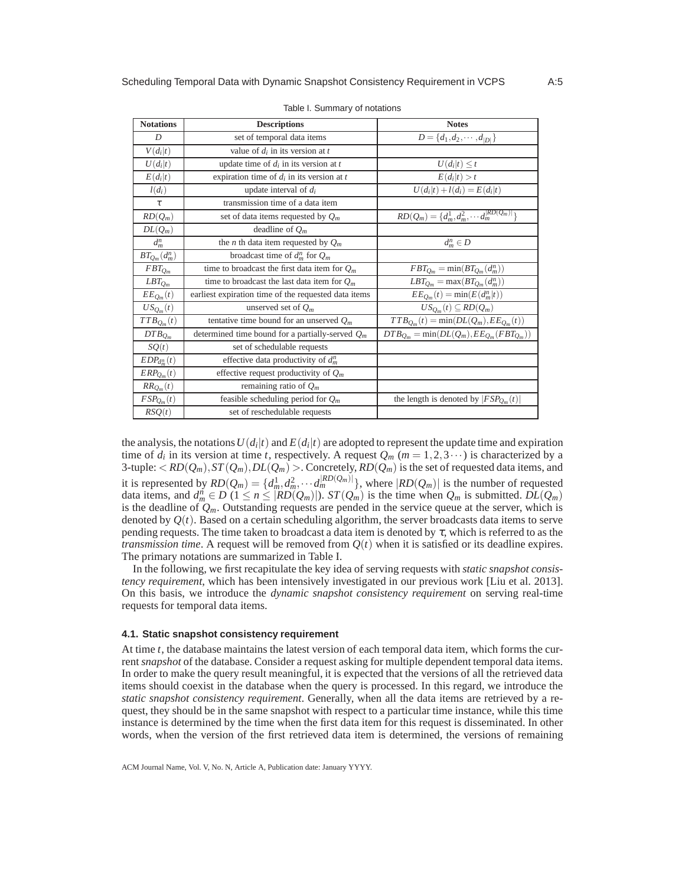| <b>Notations</b>                                           | <b>Descriptions</b>                                  | <b>Notes</b>                                                    |  |
|------------------------------------------------------------|------------------------------------------------------|-----------------------------------------------------------------|--|
| D                                                          | set of temporal data items                           | $D = \{d_1, d_2, \cdots, d_{ D }\}\$                            |  |
| $V(d_i t)$                                                 | value of $d_i$ in its version at t                   |                                                                 |  |
| $U(d_i t)$                                                 | update time of $d_i$ in its version at t             | $U(d_i t) \leq t$                                               |  |
| $E(d_i t)$<br>expiration time of $d_i$ in its version at t |                                                      | $E(d_i t) > t$                                                  |  |
| update interval of $d_i$<br>$l(d_i)$                       |                                                      | $U(d_i t) + l(d_i) = E(d_i t)$                                  |  |
| $\tau$                                                     | transmission time of a data item                     |                                                                 |  |
| $RD(Q_m)$<br>set of data items requested by $Q_m$          |                                                      | $RD(Q_m) = \{d_m^1, \overline{d_m^2, \cdots d_m^{ RD(Q_m) }}\}$ |  |
| $DL(Q_m)$                                                  | deadline of $Q_m$                                    |                                                                 |  |
| $d_m^n$                                                    | the <i>n</i> th data item requested by $Q_m$         | $d_m^n \in D$                                                   |  |
| $BT_{Q_m}(d_{m}^{n})$                                      | broadcast time of $d_m^n$ for $Q_m$                  |                                                                 |  |
| $FBT_{Qm}$                                                 | time to broadcast the first data item for $Q_m$      | $FBT_{Q_m} = \min(BT_{Q_m}(d_m^n))$                             |  |
| $LBT_{Q_m}$                                                | time to broadcast the last data item for $Q_m$       | $LBT_{Q_m} = \max(BT_{Q_m}(d_m^n))$                             |  |
| $EE_{Q_m}(t)$                                              | earliest expiration time of the requested data items | $EE_{Q_m}(t) = min(E(d_m^n t))$                                 |  |
| $US_{Q_m}(t)$                                              | unserved set of $Q_m$                                | $US_{O_m}(t) \subseteq RD(Q_m)$                                 |  |
| $TTB_{Q_m}(t)$                                             | tentative time bound for an unserved $Q_m$           | $TTB_{Q_m}(t) = min(DL(Q_m),EE_{Q_m}(t))$                       |  |
| $DTB_{Q_m}$                                                | determined time bound for a partially-served $Q_m$   | $DTB_{Q_m} = min(DL(Q_m), EE_{Q_m}(FBT_{Q_m}))$                 |  |
| SQ(t)                                                      | set of schedulable requests                          |                                                                 |  |
| $EDP_{d_m^n}(t)$                                           | effective data productivity of $d_m^n$               |                                                                 |  |
| $ERP_{Q_m}(t)$                                             | effective request productivity of $Q_m$              |                                                                 |  |
| $RR_{Q_m}(t)$                                              | remaining ratio of $Q_m$                             |                                                                 |  |
| $FSP_{Q_m}(t)$                                             | feasible scheduling period for $Q_m$                 | the length is denoted by $ FSP_{Q_m}(t) $                       |  |
| RSQ(t)                                                     | set of reschedulable requests                        |                                                                 |  |

|  |  | Table I. Summary of notations |
|--|--|-------------------------------|
|--|--|-------------------------------|

the analysis, the notations  $U(d_i|t)$  and  $E(d_i|t)$  are adopted to represent the update time and expiration time of  $d_i$  in its version at time *t*, respectively. A request  $Q_m$  ( $m = 1, 2, 3 \cdots$ ) is characterized by a 3-tuple:  $<$   $RD(Q_m),$   $ST(Q_m),$   $DL(Q_m)$   $>$  . Concretely,  $RD(Q_m)$  is the set of requested data items, and it is represented by  $RD(Q_m) = \{d_m^1, d_m^2, \cdots, d_m^{|RD(Q_m)|}\}$ , where  $|RD(Q_m)|$  is the number of requested data items, and  $d_m^n \in D$  ( $1 \le n \le |RD(Q_m)|$ ).  $ST(Q_m)$  is the time when  $Q_m$  is submitted.  $DL(Q_m)$ is the deadline of  $Q_m$ . Outstanding requests are pended in the service queue at the server, which is denoted by *Q*(*t*). Based on a certain scheduling algorithm, the server broadcasts data items to serve pending requests. The time taken to broadcast a data item is denoted by  $\tau$ , which is referred to as the *transmission time*. A request will be removed from  $Q(t)$  when it is satisfied or its deadline expires. The primary notations are summarized in Table I.

In the following, we first recapitulate the key idea of serving requests with *static snapshot consistency requirement*, which has been intensively investigated in our previous work [Liu et al. 2013]. On this basis, we introduce the *dynamic snapshot consistency requirement* on serving real-time requests for temporal data items.

## **4.1. Static snapshot consistency requirement**

At time *t*, the database maintains the latest version of each temporal data item, which forms the current*snapshot* of the database. Consider a request asking for multiple dependent temporal data items. In order to make the query result meaningful, it is expected that the versions of all the retrieved data items should coexist in the database when the query is processed. In this regard, we introduce the *static snapshot consistency requirement*. Generally, when all the data items are retrieved by a request, they should be in the same snapshot with respect to a particular time instance, while this time instance is determined by the time when the first data item for this request is disseminated. In other words, when the version of the first retrieved data item is determined, the versions of remaining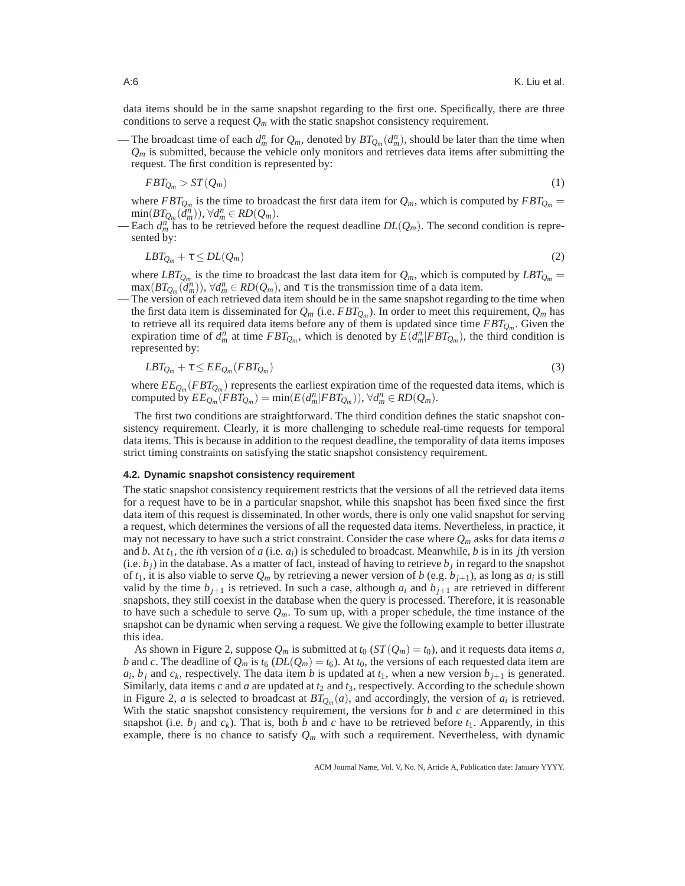data items should be in the same snapshot regarding to the first one. Specifically, there are three conditions to serve a request  $Q_m$  with the static snapshot consistency requirement.

— The broadcast time of each  $d_m^n$  for  $Q_m$ , denoted by  $BT_{Q_m}(d_m^n)$ , should be later than the time when  $Q_m$  is submitted, because the vehicle only monitors and retrieves data items after submitting the request. The first condition is represented by:

$$
FBT_{Q_m} > ST(Q_m) \tag{1}
$$

where  $FBT_{Q_m}$  is the time to broadcast the first data item for  $Q_m$ , which is computed by  $FBT_{Q_m} =$  $\min(BT_{Q_m}(\tilde{d}_m^n)), \forall d_m^n \in RD(Q_m).$ 

— Each  $d_m^n$  has to be retrieved before the request deadline  $DL(Q_m)$ . The second condition is represented by:

$$
LBT_{Q_m} + \tau \le DL(Q_m) \tag{2}
$$

where  $LBT_{Q_m}$  is the time to broadcast the last data item for  $Q_m$ , which is computed by  $LBT_{Q_m} =$  $\max(BT_{Q_m}(\tilde{d}_m^n))$ ,  $\forall d_m^n \in RD(Q_m)$ , and  $\tau$  is the transmission time of a data item.

— The version of each retrieved data item should be in the same snapshot regarding to the time when the first data item is disseminated for  $Q_m$  (i.e.  $FBT_{Q_m}$ ). In order to meet this requirement,  $Q_m$  has to retrieve all its required data items before any of them is updated since time *FBTQ<sup>m</sup>* . Given the expiration time of  $\hat{d}_m^n$  at time  $FBT_{Q_m}$ , which is denoted by  $\hat{E}(d_m^n|FBT_{Q_m})$ , the third condition is represented by:

$$
LBT_{Q_m} + \tau \le EE_{Q_m}(FBT_{Q_m})\tag{3}
$$

where  $EE_{Q_m}(FBT_{Q_m})$  represents the earliest expiration time of the requested data items, which is computed by  $EE_{Q_m}(FBT_{Q_m}) = \min(E(d_m^n|FBT_{Q_m}))$ ,  $\forall d_m^n \in RD(Q_m)$ .

The first two conditions are straightforward. The third condition defines the static snapshot consistency requirement. Clearly, it is more challenging to schedule real-time requests for temporal data items. This is because in addition to the request deadline, the temporality of data items imposes strict timing constraints on satisfying the static snapshot consistency requirement.

#### **4.2. Dynamic snapshot consistency requirement**

The static snapshot consistency requirement restricts that the versions of all the retrieved data items for a request have to be in a particular snapshot, while this snapshot has been fixed since the first data item of this request is disseminated. In other words, there is only one valid snapshot for serving a request, which determines the versions of all the requested data items. Nevertheless, in practice, it may not necessary to have such a strict constraint. Consider the case where *Q<sup>m</sup>* asks for data items *a* and *b*. At  $t_1$ , the *i*th version of *a* (i.e.  $a_i$ ) is scheduled to broadcast. Meanwhile, *b* is in its *j*th version  $(i.e.  $b_j$ ) in the database. As a matter of fact, instead of having to retrieve  $b_j$  in regard to the snapshot$ of  $t_1$ , it is also viable to serve  $Q_m$  by retrieving a newer version of  $b$  (e.g.  $b_{j+1}$ ), as long as  $a_i$  is still valid by the time  $b_{j+1}$  is retrieved. In such a case, although  $a_i$  and  $b_{j+1}$  are retrieved in different snapshots, they still coexist in the database when the query is processed. Therefore, it is reasonable to have such a schedule to serve  $Q_m$ . To sum up, with a proper schedule, the time instance of the snapshot can be dynamic when serving a request. We give the following example to better illustrate this idea.

As shown in Figure 2, suppose  $Q_m$  is submitted at  $t_0$  ( $ST(Q_m) = t_0$ ), and it requests data items *a*, *b* and *c*. The deadline of  $Q_m$  is  $t_6$  ( $DL(Q_m) = t_6$ ). At  $t_0$ , the versions of each requested data item are  $a_i, b_j$  and  $c_k$ , respectively. The data item *b* is updated at  $t_1$ , when a new version  $b_{j+1}$  is generated. Similarly, data items  $c$  and  $a$  are updated at  $t_2$  and  $t_3$ , respectively. According to the schedule shown in Figure 2, *a* is selected to broadcast at  $BT_{Q_m}(a)$ , and accordingly, the version of  $a_i$  is retrieved. With the static snapshot consistency requirement, the versions for *b* and *c* are determined in this snapshot (i.e.  $b_j$  and  $c_k$ ). That is, both  $b$  and  $c$  have to be retrieved before  $t_1$ . Apparently, in this example, there is no chance to satisfy  $Q_m$  with such a requirement. Nevertheless, with dynamic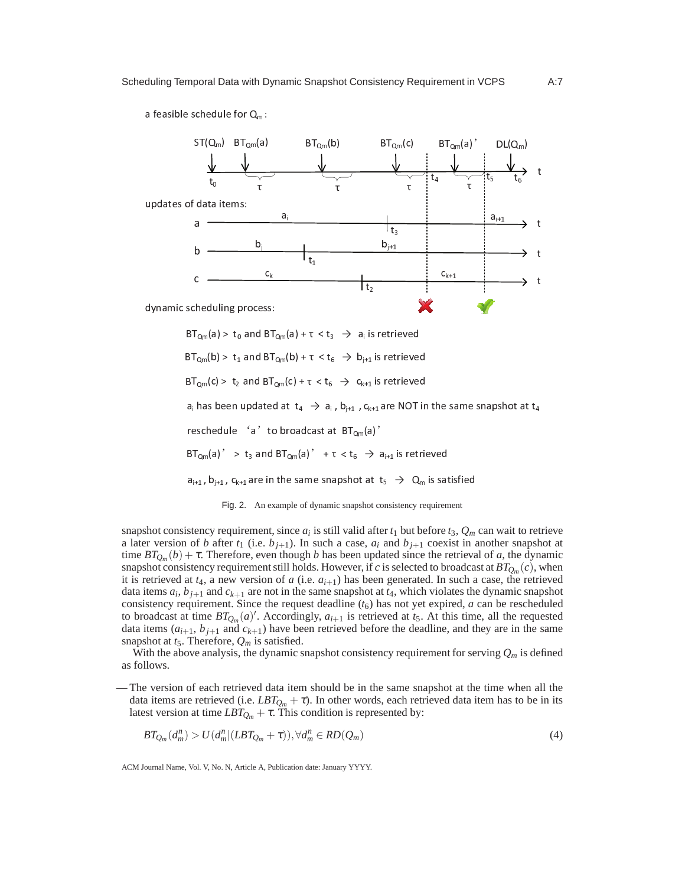a feasible schedule for  $Q_m$ :





snapshot consistency requirement, since  $a_i$  is still valid after  $t_1$  but before  $t_3$ ,  $Q_m$  can wait to retrieve a later version of *b* after  $t_1$  (i.e.  $b_{j+1}$ ). In such a case,  $a_i$  and  $b_{j+1}$  coexist in another snapshot at time  $BT_{Q_m}(b) + \tau$ . Therefore, even though *b* has been updated since the retrieval of *a*, the dynamic snapshot consistency requirement still holds. However, if  $c$  is selected to broadcast at  $BT_{Q_m}(c),$  when it is retrieved at  $t_4$ , a new version of  $a$  (i.e.  $a_{i+1}$ ) has been generated. In such a case, the retrieved data items  $a_i$ ,  $b_{j+1}$  and  $c_{k+1}$  are not in the same snapshot at  $t_4$ , which violates the dynamic snapshot consistency requirement. Since the request deadline  $(t<sub>6</sub>)$  has not yet expired, *a* can be rescheduled to broadcast at time  $BT_{Q_m}(a)'$ . Accordingly,  $a_{i+1}$  is retrieved at  $t_5$ . At this time, all the requested data items  $(a_{i+1}, b_{j+1}$  and  $c_{k+1}$ ) have been retrieved before the deadline, and they are in the same snapshot at  $t_5$ . Therefore,  $Q_m$  is satisfied.

With the above analysis, the dynamic snapshot consistency requirement for serving  $Q_m$  is defined as follows.

— The version of each retrieved data item should be in the same snapshot at the time when all the data items are retrieved (i.e. *LBTQ<sup>m</sup>* +τ). In other words, each retrieved data item has to be in its latest version at time  $LBT_{Q_m} + \tau$ . This condition is represented by:

$$
BT_{Q_m}(d_m^n) > U(d_m^n|(LBT_{Q_m}+\tau)), \forall d_m^n \in RD(Q_m)
$$
\n<sup>(4)</sup>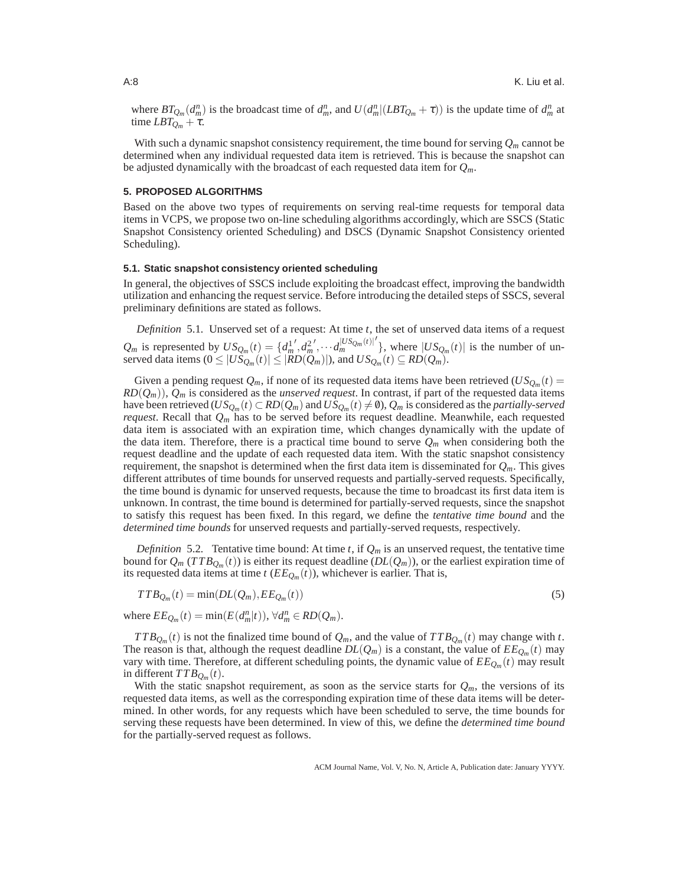where  $BT_{Q_m}(d_m^n)$  is the broadcast time of  $d_m^n$ , and  $U(d_m^n|(LBT_{Q_m}+\tau))$  is the update time of  $d_m^n$  at time  $LBT_{Q_m} + \tau$ .

With such a dynamic snapshot consistency requirement, the time bound for serving  $Q_m$  cannot be determined when any individual requested data item is retrieved. This is because the snapshot can be adjusted dynamically with the broadcast of each requested data item for *Qm*.

## **5. PROPOSED ALGORITHMS**

Based on the above two types of requirements on serving real-time requests for temporal data items in VCPS, we propose two on-line scheduling algorithms accordingly, which are SSCS (Static Snapshot Consistency oriented Scheduling) and DSCS (Dynamic Snapshot Consistency oriented Scheduling).

#### **5.1. Static snapshot consistency oriented scheduling**

In general, the objectives of SSCS include exploiting the broadcast effect, improving the bandwidth utilization and enhancing the request service. Before introducing the detailed steps of SSCS, several preliminary definitions are stated as follows.

*Definition* 5.1*.* Unserved set of a request: At time *t*, the set of unserved data items of a request  $Q_m$  is represented by  $US_{Q_m}(t) = \{d_m^1\}$  $', d_m^2$  $\langle \ldots \frac{d_m^{|US_{Q_m}(t)|}}{\langle \ldots \rangle \rangle}$  $\int$ , where  $|US_{Q_m}(t)|$  is the number of unserved data items ( $0 \leq |US_{Q_m}(t)| \leq |RD(Q_m)|$ ), and  $US_{Q_m}(t) \subseteq RD(Q_m)$ .

Given a pending request  $Q_m$ , if none of its requested data items have been retrieved  $(US_{Q_m}(t))$  $RD(Q_m)$ ),  $Q_m$  is considered as the *unserved request*. In contrast, if part of the requested data items have been retrieved ( $US_{\mathcal{Q}_m}(t)\subset R D(\mathcal{Q}_m)$  and  $US_{\mathcal{Q}_m}(t)\neq\emptyset$ ),  $\mathcal{Q}_m$  is considered as the *partially-served request*. Recall that *Q<sup>m</sup>* has to be served before its request deadline. Meanwhile, each requested data item is associated with an expiration time, which changes dynamically with the update of the data item. Therefore, there is a practical time bound to serve  $Q_m$  when considering both the request deadline and the update of each requested data item. With the static snapshot consistency requirement, the snapshot is determined when the first data item is disseminated for *Qm*. This gives different attributes of time bounds for unserved requests and partially-served requests. Specifically, the time bound is dynamic for unserved requests, because the time to broadcast its first data item is unknown. In contrast, the time bound is determined for partially-served requests, since the snapshot to satisfy this request has been fixed. In this regard, we define the *tentative time bound* and the *determined time bounds* for unserved requests and partially-served requests, respectively.

*Definition* 5.2. Tentative time bound: At time *t*, if  $Q_m$  is an unserved request, the tentative time bound for  $Q_m$  (*TTB* $_{Q_m}(t)$ ) is either its request deadline (*DL*( $Q_m$ )), or the earliest expiration time of its requested data items at time *t* (*EEQ<sup>m</sup>* (*t*)), whichever is earlier. That is,

$$
TTB_{Q_m}(t) = \min(DL(Q_m), EE_{Q_m}(t))
$$
\n<sup>(5)</sup>

where  $EE_{Q_m}(t) = \min(E(d_m^n|t)), \forall d_m^n \in RD(Q_m)$ .

*TTB*<sub>*Q*</sub><sup>*m*</sup>(*t*) is not the finalized time bound of *Q*<sup>*m*</sup>, and the value of *TTB*<sub>*Q*</sub><sup>*m*</sup>(*t*) may change with *t*. The reason is that, although the request deadline  $DL(Q_m)$  is a constant, the value of  $EE_{Q_m}(t)$  may vary with time. Therefore, at different scheduling points, the dynamic value of *EEQ<sup>m</sup>* (*t*) may result in different  $TTB_{Q_m}(t)$ .

With the static snapshot requirement, as soon as the service starts for  $Q_m$ , the versions of its requested data items, as well as the corresponding expiration time of these data items will be determined. In other words, for any requests which have been scheduled to serve, the time bounds for serving these requests have been determined. In view of this, we define the *determined time bound* for the partially-served request as follows.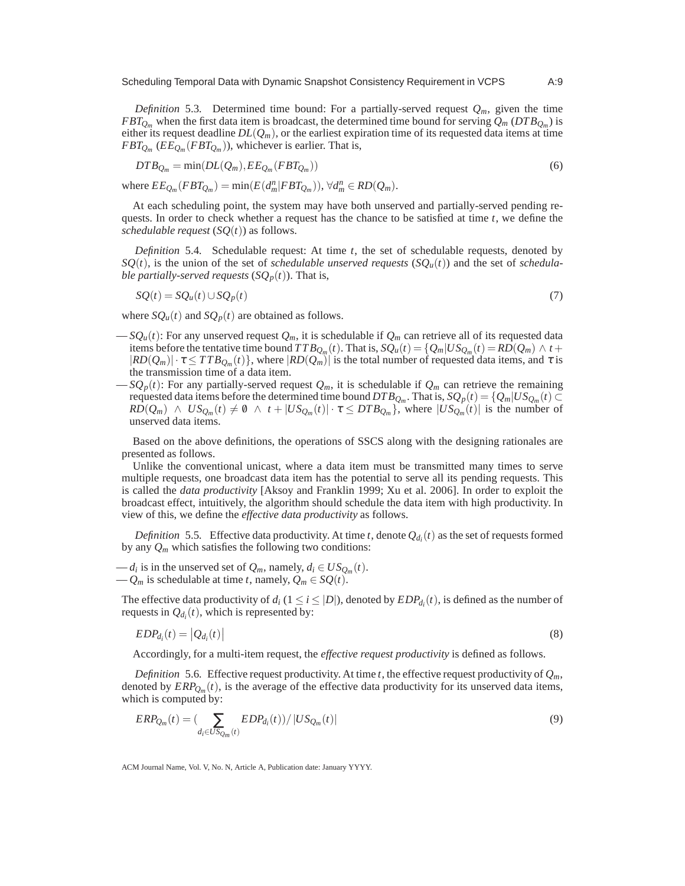*Definition* 5.3. Determined time bound: For a partially-served request  $Q_m$ , given the time *FBTQ<sup>m</sup>* when the first data item is broadcast, the determined time bound for serving *Q<sup>m</sup>* (*DTBQ<sup>m</sup>* ) is either its request deadline  $DL(Q_m)$ , or the earliest expiration time of its requested data items at time  $FBT_{Q_m}$  ( $EE_{Q_m}(FBT_{Q_m})$ ), whichever is earlier. That is,

$$
DTB_{Q_m} = \min(DL(Q_m), EE_{Q_m}(FBT_{Q_m}))
$$
\n<sup>(6)</sup>

where  $EE_{Q_m}(FBT_{Q_m}) = \min(E(d_m^n|FBT_{Q_m})), \forall d_m^n \in RD(Q_m).$ 

At each scheduling point, the system may have both unserved and partially-served pending requests. In order to check whether a request has the chance to be satisfied at time *t*, we define the *schedulable request*  $(SQ(t))$  as follows.

*Definition* 5.4*.* Schedulable request: At time *t*, the set of schedulable requests, denoted by  $SQ(t)$ , is the union of the set of *schedulable unserved requests*  $(SQ<sub>u</sub>(t))$  and the set of *schedulable partially-served requests*  $(SQ<sub>p</sub>(t))$ . That is,

$$
SQ(t) = SQ_u(t) \cup SQ_p(t) \tag{7}
$$

where  $SQ_u(t)$  and  $SQ_p(t)$  are obtained as follows.

- $-SQ<sub>u</sub>(t)$ : For any unserved request  $Q<sub>m</sub>$ , it is schedulable if  $Q<sub>m</sub>$  can retrieve all of its requested data items before the tentative time bound  $TTB_{Q_m}(t)$ . That is,  $SQ_u(t) = \{Q_m | US_{Q_m}(t) = RD(Q_m) \land t + \emptyset\}$  $|RD(Q_m)| \cdot \tau \leq TTB_{Q_m}(t) \}$ , where  $|RD(Q_m)|$  is the total number of requested data items, and  $\tau$  is the transmission time of a data item.
- $-SQ_p(t)$ : For any partially-served request  $Q_m$ , it is schedulable if  $Q_m$  can retrieve the remaining requested data items before the determined time bound  $DTB_{Q_m}$ . That is,  $SQ_p(t) = \{Q_m|US_{Q_m}(t) \subset$  $RD(Q_m) \land US_{Q_m}(t) \neq \emptyset \land t + |US_{Q_m}(t)| \cdot \tau \leq DTB_{Q_m}$ , where  $|US_{Q_m}(t)|$  is the number of unserved data items.

Based on the above definitions, the operations of SSCS along with the designing rationales are presented as follows.

Unlike the conventional unicast, where a data item must be transmitted many times to serve multiple requests, one broadcast data item has the potential to serve all its pending requests. This is called the *data productivity* [Aksoy and Franklin 1999; Xu et al. 2006]. In order to exploit the broadcast effect, intuitively, the algorithm should schedule the data item with high productivity. In view of this, we define the *effective data productivity* as follows.

*Definition* 5.5. Effective data productivity. At time *t*, denote  $Q_{d_i}(t)$  as the set of requests formed by any  $Q_m$  which satisfies the following two conditions:

 $-d_i$  is in the unserved set of  $Q_m$ , namely,  $d_i \in US_{Q_m}(t)$ .  $-Q_m$  is schedulable at time *t*, namely,  $Q_m \in SQ(t)$ .

The effective data productivity of  $d_i$  ( $1 \le i \le |D|$ ), denoted by  $EDP_{d_i}(t)$ , is defined as the number of requests in  $Q_{d_i}(t)$ , which is represented by:

$$
EDP_{d_i}(t) = |Q_{d_i}(t)| \tag{8}
$$

Accordingly, for a multi-item request, the *effective request productivity* is defined as follows.

*Definition* 5.6. Effective request productivity. At time *t*, the effective request productivity of  $Q_m$ , denoted by *ERPQ<sup>m</sup>* (*t*), is the average of the effective data productivity for its unserved data items, which is computed by:

$$
ERP_{Q_m}(t) = (\sum_{d_i \in US_{Q_m}(t)} EDP_{d_i}(t)) / |US_{Q_m}(t)|
$$
\n(9)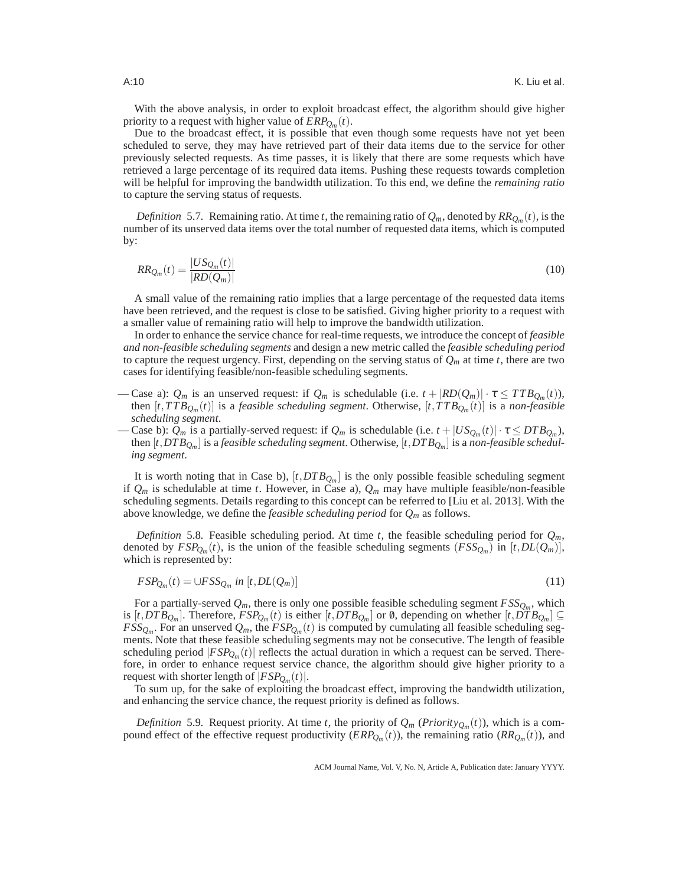With the above analysis, in order to exploit broadcast effect, the algorithm should give higher priority to a request with higher value of *ERPQ<sup>m</sup>* (*t*).

Due to the broadcast effect, it is possible that even though some requests have not yet been scheduled to serve, they may have retrieved part of their data items due to the service for other previously selected requests. As time passes, it is likely that there are some requests which have retrieved a large percentage of its required data items. Pushing these requests towards completion will be helpful for improving the bandwidth utilization. To this end, we define the *remaining ratio* to capture the serving status of requests.

*Definition* 5.7. Remaining ratio. At time *t*, the remaining ratio of  $Q_m$ , denoted by  $RR_{Q_m}(t)$ , is the number of its unserved data items over the total number of requested data items, which is computed by:

$$
RR_{Q_m}(t) = \frac{|US_{Q_m}(t)|}{|RD(Q_m)|}\tag{10}
$$

A small value of the remaining ratio implies that a large percentage of the requested data items have been retrieved, and the request is close to be satisfied. Giving higher priority to a request with a smaller value of remaining ratio will help to improve the bandwidth utilization.

In order to enhance the service chance for real-time requests, we introduce the concept of *feasible and non-feasible scheduling segments* and design a new metric called the *feasible scheduling period* to capture the request urgency. First, depending on the serving status of  $Q_m$  at time  $t$ , there are two cases for identifying feasible/non-feasible scheduling segments.

- Case a):  $Q_m$  is an unserved request: if  $Q_m$  is schedulable (i.e.  $t + |RD(Q_m)| \cdot \tau \leq TTB_{Q_m}(t)$ ), then [*t*,*T TBQ<sup>m</sup>* (*t*)] is a *feasible scheduling segment*. Otherwise, [*t*,*T T BQ<sup>m</sup>* (*t*)] is a *non-feasible scheduling segment*.
- Case b):  $Q_m$  is a partially-served request: if  $Q_m$  is schedulable (i.e.  $t + |US_{Q_m}(t)| \cdot \tau \leq DTB_{Q_m}$ ), then [*t*,*DTBQ<sup>m</sup>* ] is a *feasible scheduling segment*. Otherwise, [*t*,*DT BQ<sup>m</sup>* ] is a *non-feasible scheduling segment*.

It is worth noting that in Case b), [*t*,*DTBQ<sup>m</sup>* ] is the only possible feasible scheduling segment if  $Q_m$  is schedulable at time *t*. However, in Case a),  $Q_m$  may have multiple feasible/non-feasible scheduling segments. Details regarding to this concept can be referred to [Liu et al. 2013]. With the above knowledge, we define the *feasible scheduling period* for *Q<sup>m</sup>* as follows.

*Definition* 5.8. Feasible scheduling period. At time *t*, the feasible scheduling period for  $Q_m$ , denoted by  $FSP_{Q_m}(t)$ , is the union of the feasible scheduling segments  $(FSS_{Q_m})$  in  $[t,DL(Q_m)]$ , which is represented by:

$$
FSP_{Q_m}(t) = \cup FSS_{Q_m} \text{ in } [t, DL(Q_m)] \tag{11}
$$

For a partially-served  $Q_m$ , there is only one possible feasible scheduling segment  $FSS_{Q_m}$ , which is  $[t, DTB_{Q_m}]$ . Therefore,  $FSP_{Q_m}(t)$  is either  $[t, DTB_{Q_m}]$  or 0, depending on whether  $[t, DTB_{Q_m}] \subseteq$  $FSS_{Q_m}$ . For an unserved  $Q_m$ , the  $FSP_{Q_m}(t)$  is computed by cumulating all feasible scheduling segments. Note that these feasible scheduling segments may not be consecutive. The length of feasible scheduling period  $|FSP_{Q_m}(t)|$  reflects the actual duration in which a request can be served. Therefore, in order to enhance request service chance, the algorithm should give higher priority to a request with shorter length of  $|FSP_{Q_m}(t)|$ .

To sum up, for the sake of exploiting the broadcast effect, improving the bandwidth utilization, and enhancing the service chance, the request priority is defined as follows.

*Definition* 5.9. Request priority. At time *t*, the priority of  $Q_m$  (*Priority*<sub> $Q_m$ </sub>(*t*)), which is a compound effect of the effective request productivity  $(\text{ERP}_{Q_m}(t))$ , the remaining ratio  $(\text{RR}_{Q_m}(t))$ , and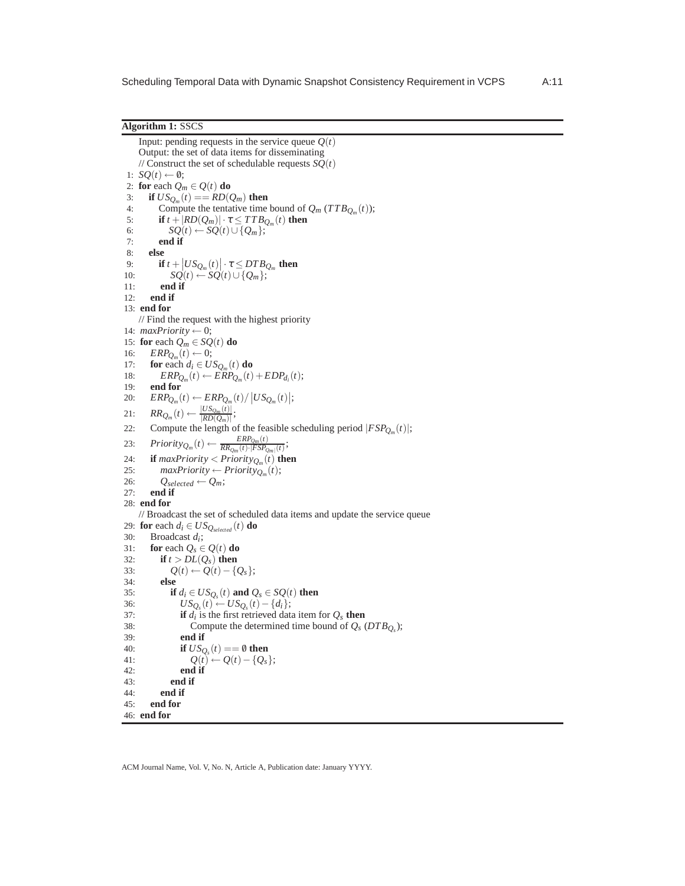**Algorithm 1:** SSCS

```
Input: pending requests in the service queue Q(t)Output: the set of data items for disseminating
    // Construct the set of schedulable requests SQ(t)1: SQ(t) \leftarrow \emptyset;2: for each Q_m \in Q(t) do<br>3: if US_{Q_m}(t) == RD(t)3: if US_{Q_m}(t) == RD(Q_m) then
 4: Compute the tentative time bound of Q_m (TTB_{Q_m}(t));5: if t + |RD(Q_m)| \cdot \tau \leq TTB_{Q_m}(t) then
6: SO(t) \leftarrow SO(t) \cup \{Q_m\};<br>7: end if
          7: end if
8: else
 9: if t + |US_{Q_m}(t)| \cdot \tau \leq DTB_{Q_m} then
10: SQ(t) \leftarrow SQ(t) \cup \{Q_m\};11: end if
12: end if
13: end for
    // Find the request with the highest priority
14: maxPriority \leftarrow 0;15: for each Q_m \in SQ(t) do
16: ERP_{Q_m}(t) \leftarrow 0;17: for each d_i \in US_{Q_m}(t) do
18: \qquad \qquad ERP_{Q_m}(t) \leftarrow ERP_{Q_m}(t) + EDP_{d_i}(t);19: end for
20: ERP_{Q_m}(t) \leftarrow ERP_{Q_m}(t) / |US_{Q_m}(t)|;21: RR_{Q_m}(t) \leftarrow \frac{|US_{Q_m}(t)|}{|RD(Q_m)|}\frac{|USp(m(l))|}{|RD(Q_m)|};22: Compute the length of the feasible scheduling period |FSP_{Q_m}(t)|;
23: Priority_{Q_m}(t) \leftarrow \frac{ERP_{Q_m}(t)}{RR_{Q_m}(t) \cdot |FSP_G|}\frac{E\kappa r_{Q_m}(t)}{RR_{Q_m}(t)\cdot|FSP_{Q_m|}(t)}24: if maxPriority < priority_{Q_m}(t) then
25: maxPriority \leftarrow Priority_{Q_m}(t);26: Q_{selected} \leftarrow Q_m;<br>27: end if
       end if
28: end for
    // Broadcast the set of scheduled data items and update the service queue
29: for each d_i \in US_{Q_{selected}}(t) do<br>30: Broadcast d_i:
30: Broadcast di
;
31: for each Q_s \in Q(t) do<br>32: if t > DL(O_s) then
32: if t > DL(Q_s) then<br>33: O(t) \leftarrow O(t) - \{e \}33: Q(t) \leftarrow Q(t) - \{Q_s\};<br>34: else
          34: else
35: if d_i \in US_{Q_s}(t) and Q_s \in SQ(t) then
36: US_{Q_s}(t) ← US_{Q_s}(t) - \{d_i\};37: if d_i is the first retrieved data item for Q_s then
38: Compute the determined time bound of Q_s (DTB_{Q_s});
39: end if
40: if US_{Q_s}(t) == 0 then
41: Q(t) \leftarrow Q(t) - {Q_s};<br>42: end if
                 end if
43: end if
44: end if
45: end for
46: end for
```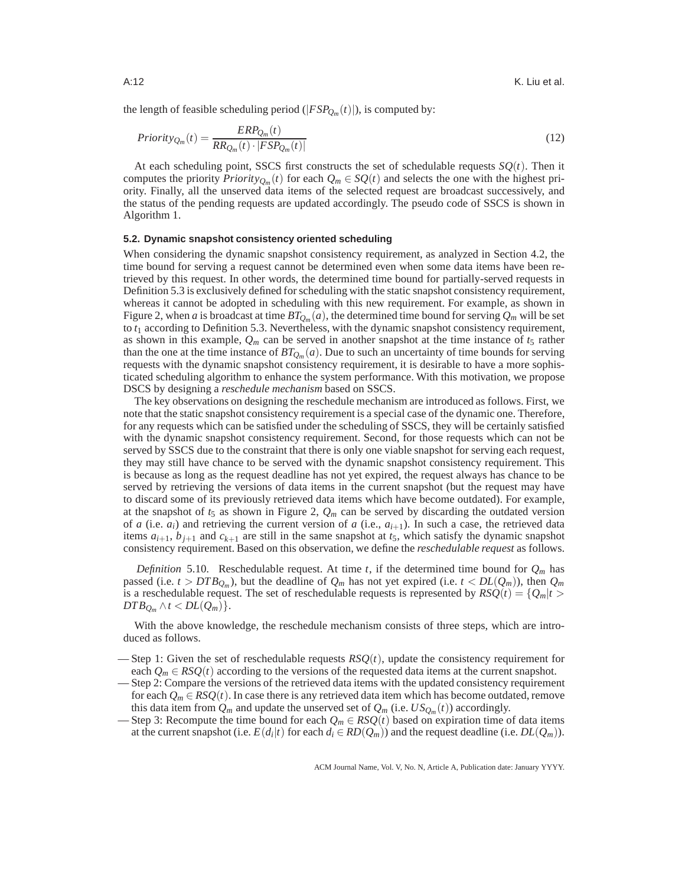the length of feasible scheduling period ( $|FSP_{Q_m}(t)|$ ), is computed by:

$$
Priority_{Q_m}(t) = \frac{ERP_{Q_m}(t)}{RR_{Q_m}(t) \cdot |FSP_{Q_m}(t)|}
$$
\n
$$
(12)
$$

At each scheduling point, SSCS first constructs the set of schedulable requests  $SQ(t)$ . Then it computes the priority  $Priority_{Q_m}(t)$  for each  $Q_m \in SQ(t)$  and selects the one with the highest priority. Finally, all the unserved data items of the selected request are broadcast successively, and the status of the pending requests are updated accordingly. The pseudo code of SSCS is shown in Algorithm 1.

# **5.2. Dynamic snapshot consistency oriented scheduling**

When considering the dynamic snapshot consistency requirement, as analyzed in Section 4.2, the time bound for serving a request cannot be determined even when some data items have been retrieved by this request. In other words, the determined time bound for partially-served requests in Definition 5.3 is exclusively defined for scheduling with the static snapshot consistency requirement, whereas it cannot be adopted in scheduling with this new requirement. For example, as shown in Figure 2, when *a* is broadcast at time  $BT_{Q_m}(a)$ , the determined time bound for serving  $Q_m$  will be set to  $t_1$  according to Definition 5.3. Nevertheless, with the dynamic snapshot consistency requirement, as shown in this example,  $Q_m$  can be served in another snapshot at the time instance of  $t_5$  rather than the one at the time instance of *BTQ<sup>m</sup>* (*a*). Due to such an uncertainty of time bounds for serving requests with the dynamic snapshot consistency requirement, it is desirable to have a more sophisticated scheduling algorithm to enhance the system performance. With this motivation, we propose DSCS by designing a *reschedule mechanism* based on SSCS.

The key observations on designing the reschedule mechanism are introduced as follows. First, we note that the static snapshot consistency requirement is a special case of the dynamic one. Therefore, for any requests which can be satisfied under the scheduling of SSCS, they will be certainly satisfied with the dynamic snapshot consistency requirement. Second, for those requests which can not be served by SSCS due to the constraint that there is only one viable snapshot for serving each request, they may still have chance to be served with the dynamic snapshot consistency requirement. This is because as long as the request deadline has not yet expired, the request always has chance to be served by retrieving the versions of data items in the current snapshot (but the request may have to discard some of its previously retrieved data items which have become outdated). For example, at the snapshot of  $t_5$  as shown in Figure 2,  $Q_m$  can be served by discarding the outdated version of *a* (i.e.  $a_i$ ) and retrieving the current version of *a* (i.e.,  $a_{i+1}$ ). In such a case, the retrieved data items  $a_{i+1}$ ,  $b_{i+1}$  and  $c_{k+1}$  are still in the same snapshot at  $t_5$ , which satisfy the dynamic snapshot consistency requirement. Based on this observation, we define the *reschedulable request* as follows.

*Definition* 5.10. Reschedulable request. At time *t*, if the determined time bound for  $Q_m$  has passed (i.e.  $t > DTB_{Q_m}$ ), but the deadline of  $Q_m$  has not yet expired (i.e.  $t < DL(Q_m)$ ), then  $Q_m$ is a reschedulable request. The set of reschedulable requests is represented by  $RSQ(t) = \{Q_m | t >$  $DTB_{O_m} \wedge t < DL(Q_m)$ .

With the above knowledge, the reschedule mechanism consists of three steps, which are introduced as follows.

- Step 1: Given the set of reschedulable requests  $RSQ(t)$ , update the consistency requirement for each  $Q_m \in RSO(t)$  according to the versions of the requested data items at the current snapshot.
- Step 2: Compare the versions of the retrieved data items with the updated consistency requirement for each  $Q_m \in RSO(t)$ . In case there is any retrieved data item which has become outdated, remove this data item from  $Q_m$  and update the unserved set of  $Q_m$  (i.e.  $US_{Q_m}(t)$ ) accordingly.
- Step 3: Recompute the time bound for each  $Q_m \in RSQ(t)$  based on expiration time of data items at the current snapshot (i.e.  $E(d_i|t)$  for each  $d_i \in RD(Q_m)$ ) and the request deadline (i.e.  $DL(Q_m)$ ).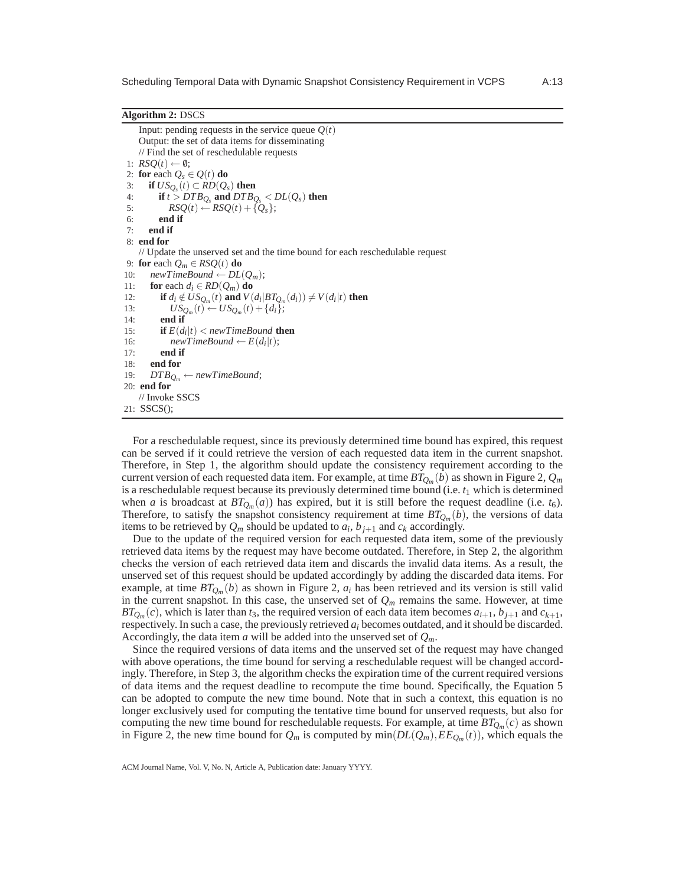Input: pending requests in the service queue  $Q(t)$ Output: the set of data items for disseminating // Find the set of reschedulable requests 1:  $RSQ(t) \leftarrow \emptyset;$ 2: **for** each  $Q_s \in Q(t)$  **do** 3: **if**  $US_{Q_s}(t) \subset RD(Q_s)$  then 4: **if**  $t > DTB_{Q_s}$  and  $DTB_{Q_s} < DL(Q_s)$  then 5:  $RSQ(t) \leftarrow RSQ(t) + \{Q_s\};$ <br>6: end if 6: **end if** 7: **end if** 8: **end for** // Update the unserved set and the time bound for each reschedulable request 9: **for** each  $Q_m \in RSQ(t)$  **do** 10:  $newTimeBound \leftarrow DL(Q_m);$ 11: **for** each  $d_i \in RD(Q_m)$  **do** 12: **if**  $d_i \notin US_{Q_m}(t)$  and  $V(d_i|BT_{Q_m}(d_i)) \neq V(d_i|t)$  then 13:  $US_{Q_m}(t) \leftarrow US_{Q_m}(t) + \{d_i\};$ 14: **end if** 15: **if**  $E(d_i|t) < newTimeBound$  **then** 16: *newTimeBound*  $\leftarrow E(d_i|t)$ ; 17: **end if** 18: **end for** 19:  $DTB_{Q_m} \leftarrow newTimeBound;$ 20: **end for** // Invoke SSCS 21: SSCS();

For a reschedulable request, since its previously determined time bound has expired, this request can be served if it could retrieve the version of each requested data item in the current snapshot. Therefore, in Step 1, the algorithm should update the consistency requirement according to the current version of each requested data item. For example, at time  $BT_{Q_m}(b)$  as shown in Figure 2,  $Q_m$ is a reschedulable request because its previously determined time bound (i.e. *t*<sup>1</sup> which is determined when *a* is broadcast at  $BT_{Q_m}(a)$ ) has expired, but it is still before the request deadline (i.e.  $t_6$ ). Therefore, to satisfy the snapshot consistency requirement at time  $BT_{Q_m}(b)$ , the versions of data items to be retrieved by  $Q_m$  should be updated to  $a_i$ ,  $b_{j+1}$  and  $c_k$  accordingly.

Due to the update of the required version for each requested data item, some of the previously retrieved data items by the request may have become outdated. Therefore, in Step 2, the algorithm checks the version of each retrieved data item and discards the invalid data items. As a result, the unserved set of this request should be updated accordingly by adding the discarded data items. For example, at time  $BT_{Q_m}(b)$  as shown in Figure 2,  $a_i$  has been retrieved and its version is still valid in the current snapshot. In this case, the unserved set of  $Q_m$  remains the same. However, at time *BT*<sub>*Q*</sub><sup>*m*</sup>(*c*), which is later than *t*<sub>3</sub>, the required version of each data item becomes  $a_{i+1}$ ,  $b_{j+1}$  and  $c_{k+1}$ , respectively. In such a case, the previously retrieved *a<sup>i</sup>* becomes outdated, and it should be discarded. Accordingly, the data item *a* will be added into the unserved set of *Qm*.

Since the required versions of data items and the unserved set of the request may have changed with above operations, the time bound for serving a reschedulable request will be changed accordingly. Therefore, in Step 3, the algorithm checks the expiration time of the current required versions of data items and the request deadline to recompute the time bound. Specifically, the Equation 5 can be adopted to compute the new time bound. Note that in such a context, this equation is no longer exclusively used for computing the tentative time bound for unserved requests, but also for computing the new time bound for reschedulable requests. For example, at time  $BT_{Q_m}(c)$  as shown in Figure 2, the new time bound for  $Q_m$  is computed by  $min(DL(Q_m), EE_{Q_m}(t))$ , which equals the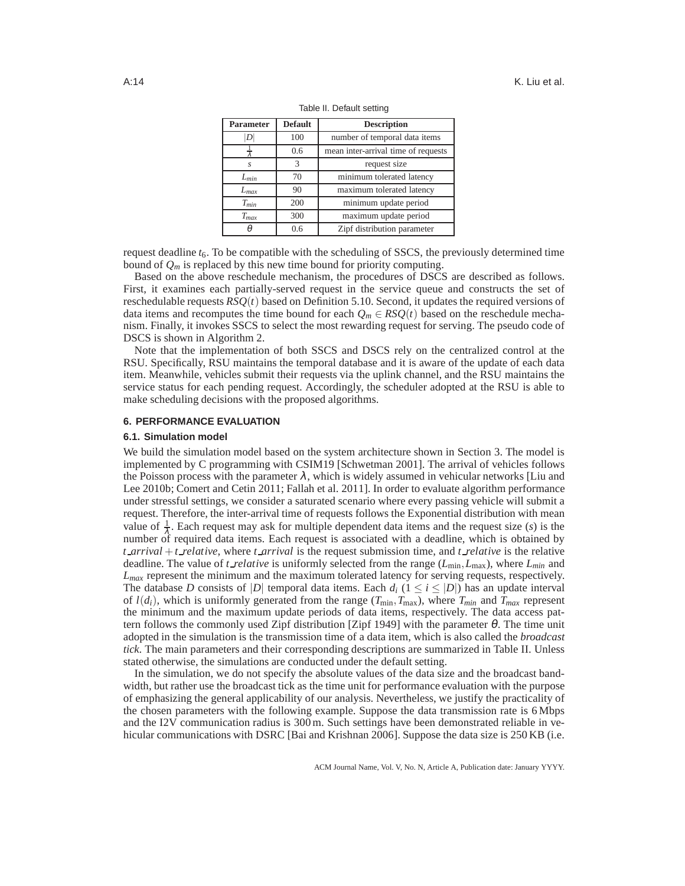| <b>Parameter</b> | <b>Default</b> | <b>Description</b>                  |
|------------------|----------------|-------------------------------------|
| D                | 100            | number of temporal data items       |
|                  | 0.6            | mean inter-arrival time of requests |
| S                | 3              | request size                        |
| $L_{min}$        | 70             | minimum tolerated latency           |
| $L_{max}$        | 90             | maximum tolerated latency           |
| $T_{min}$        | 200            | minimum update period               |
| $T_{max}$        | 300            | maximum update period               |
|                  | 0.6            | Zipf distribution parameter         |

Table II. Default setting

request deadline  $t_6$ . To be compatible with the scheduling of SSCS, the previously determined time bound of  $Q_m$  is replaced by this new time bound for priority computing.

Based on the above reschedule mechanism, the procedures of DSCS are described as follows. First, it examines each partially-served request in the service queue and constructs the set of reschedulable requests *RSQ*(*t*) based on Definition 5.10. Second, it updates the required versions of data items and recomputes the time bound for each  $Q_m \in RSQ(t)$  based on the reschedule mechanism. Finally, it invokes SSCS to select the most rewarding request for serving. The pseudo code of DSCS is shown in Algorithm 2.

Note that the implementation of both SSCS and DSCS rely on the centralized control at the RSU. Specifically, RSU maintains the temporal database and it is aware of the update of each data item. Meanwhile, vehicles submit their requests via the uplink channel, and the RSU maintains the service status for each pending request. Accordingly, the scheduler adopted at the RSU is able to make scheduling decisions with the proposed algorithms.

## **6. PERFORMANCE EVALUATION**

#### **6.1. Simulation model**

We build the simulation model based on the system architecture shown in Section 3. The model is implemented by C programming with CSIM19 [Schwetman 2001]. The arrival of vehicles follows the Poisson process with the parameter  $\lambda$ , which is widely assumed in vehicular networks [Liu and Lee 2010b; Comert and Cetin 2011; Fallah et al. 2011]. In order to evaluate algorithm performance under stressful settings, we consider a saturated scenario where every passing vehicle will submit a request. Therefore, the inter-arrival time of requests follows the Exponential distribution with mean value of  $\frac{1}{\lambda}$ . Each request may ask for multiple dependent data items and the request size (*s*) is the number of required data items. Each request is associated with a deadline, which is obtained by *t arrival* +*t relative*, where *t arrival* is the request submission time, and *t relative* is the relative deadline. The value of *t relative* is uniformly selected from the range ( $L_{min}$ ,  $L_{max}$ ), where  $L_{min}$  and *Lmax* represent the minimum and the maximum tolerated latency for serving requests, respectively. The database *D* consists of |*D*| temporal data items. Each  $d_i$  ( $1 \le i \le |D|$ ) has an update interval of  $l(d_i)$ , which is uniformly generated from the range ( $T_{min}, T_{max}$ ), where  $T_{min}$  and  $T_{max}$  represent the minimum and the maximum update periods of data items, respectively. The data access pattern follows the commonly used Zipf distribution [Zipf 1949] with the parameter  $\theta$ . The time unit adopted in the simulation is the transmission time of a data item, which is also called the *broadcast tick*. The main parameters and their corresponding descriptions are summarized in Table II. Unless stated otherwise, the simulations are conducted under the default setting.

In the simulation, we do not specify the absolute values of the data size and the broadcast bandwidth, but rather use the broadcast tick as the time unit for performance evaluation with the purpose of emphasizing the general applicability of our analysis. Nevertheless, we justify the practicality of the chosen parameters with the following example. Suppose the data transmission rate is 6 Mbps and the I2V communication radius is 300 m. Such settings have been demonstrated reliable in vehicular communications with DSRC [Bai and Krishnan 2006]. Suppose the data size is 250 KB (i.e.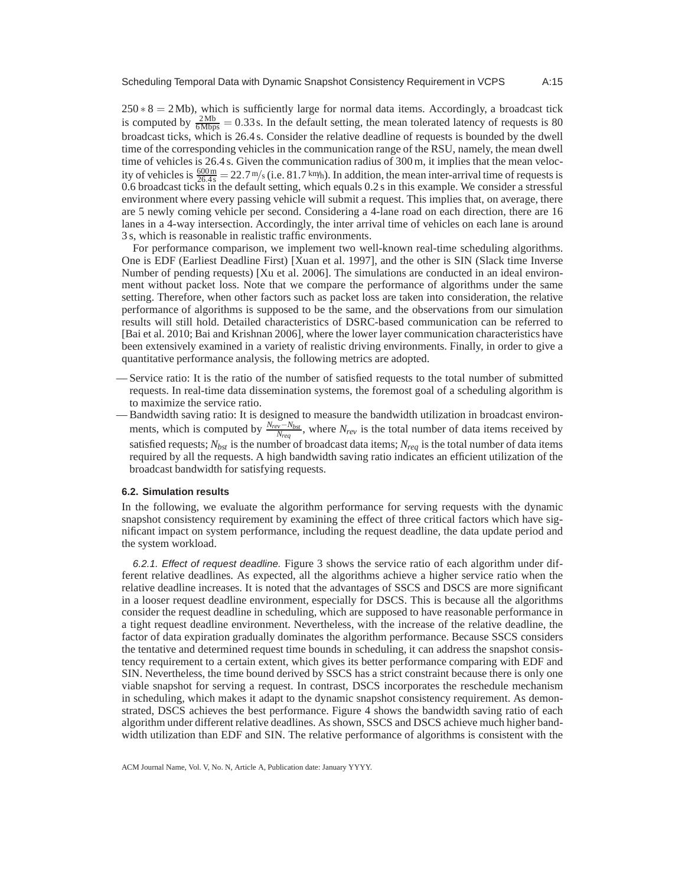$250 * 8 = 2Mb$ , which is sufficiently large for normal data items. Accordingly, a broadcast tick is computed by  $\frac{2Mb}{6Mbps} = 0.33s$ . In the default setting, the mean tolerated latency of requests is 80 broadcast ticks, which is 26.4 s. Consider the relative deadline of requests is bounded by the dwell time of the corresponding vehicles in the communication range of the RSU, namely, the mean dwell time of vehicles is 26.4 s. Given the communication radius of 300 m, it implies that the mean velocity of vehicles is  $\frac{600 \text{ m}}{26.4 \text{ s}} = 22.7 \text{ m/s}$  (i.e. 81.7 km/h). In addition, the mean inter-arrival time of requests is 0.6 broadcast ticks in the default setting, which equals 0.2 s in this example. We consider a stressful environment where every passing vehicle will submit a request. This implies that, on average, there are 5 newly coming vehicle per second. Considering a 4-lane road on each direction, there are 16 lanes in a 4-way intersection. Accordingly, the inter arrival time of vehicles on each lane is around 3 s, which is reasonable in realistic traffic environments.

For performance comparison, we implement two well-known real-time scheduling algorithms. One is EDF (Earliest Deadline First) [Xuan et al. 1997], and the other is SIN (Slack time Inverse Number of pending requests) [Xu et al. 2006]. The simulations are conducted in an ideal environment without packet loss. Note that we compare the performance of algorithms under the same setting. Therefore, when other factors such as packet loss are taken into consideration, the relative performance of algorithms is supposed to be the same, and the observations from our simulation results will still hold. Detailed characteristics of DSRC-based communication can be referred to [Bai et al. 2010; Bai and Krishnan 2006], where the lower layer communication characteristics have been extensively examined in a variety of realistic driving environments. Finally, in order to give a quantitative performance analysis, the following metrics are adopted.

- Service ratio: It is the ratio of the number of satisfied requests to the total number of submitted requests. In real-time data dissemination systems, the foremost goal of a scheduling algorithm is to maximize the service ratio.
- Bandwidth saving ratio: It is designed to measure the bandwidth utilization in broadcast environments, which is computed by  $\frac{N_{rev} - N_{bst}}{N_{req}}$ , where  $N_{rev}$  is the total number of data items received by satisfied requests;  $N_{\text{bat}}$  is the number of broadcast data items;  $N_{\text{rea}}$  is the total number of data items required by all the requests. A high bandwidth saving ratio indicates an efficient utilization of the broadcast bandwidth for satisfying requests.

#### **6.2. Simulation results**

In the following, we evaluate the algorithm performance for serving requests with the dynamic snapshot consistency requirement by examining the effect of three critical factors which have significant impact on system performance, including the request deadline, the data update period and the system workload.

6.2.1. Effect of request deadline. Figure 3 shows the service ratio of each algorithm under different relative deadlines. As expected, all the algorithms achieve a higher service ratio when the relative deadline increases. It is noted that the advantages of SSCS and DSCS are more significant in a looser request deadline environment, especially for DSCS. This is because all the algorithms consider the request deadline in scheduling, which are supposed to have reasonable performance in a tight request deadline environment. Nevertheless, with the increase of the relative deadline, the factor of data expiration gradually dominates the algorithm performance. Because SSCS considers the tentative and determined request time bounds in scheduling, it can address the snapshot consistency requirement to a certain extent, which gives its better performance comparing with EDF and SIN. Nevertheless, the time bound derived by SSCS has a strict constraint because there is only one viable snapshot for serving a request. In contrast, DSCS incorporates the reschedule mechanism in scheduling, which makes it adapt to the dynamic snapshot consistency requirement. As demonstrated, DSCS achieves the best performance. Figure 4 shows the bandwidth saving ratio of each algorithm under different relative deadlines. As shown, SSCS and DSCS achieve much higher bandwidth utilization than EDF and SIN. The relative performance of algorithms is consistent with the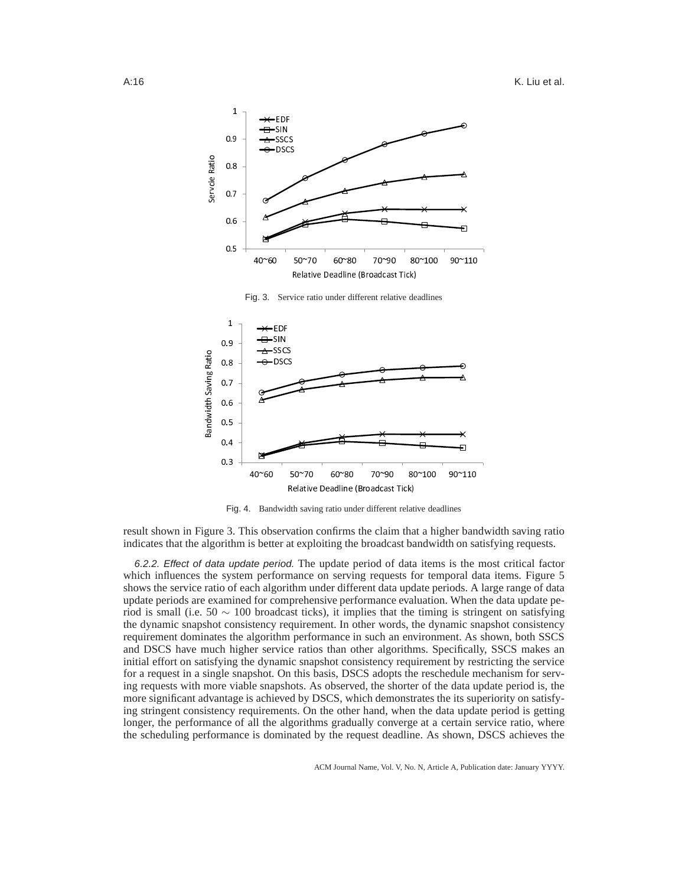



Fig. 4. Bandwidth saving ratio under different relative deadlines

result shown in Figure 3. This observation confirms the claim that a higher bandwidth saving ratio indicates that the algorithm is better at exploiting the broadcast bandwidth on satisfying requests.

6.2.2. Effect of data update period. The update period of data items is the most critical factor which influences the system performance on serving requests for temporal data items. Figure 5 shows the service ratio of each algorithm under different data update periods. A large range of data update periods are examined for comprehensive performance evaluation. When the data update period is small (i.e. 50  $\sim$  100 broadcast ticks), it implies that the timing is stringent on satisfying the dynamic snapshot consistency requirement. In other words, the dynamic snapshot consistency requirement dominates the algorithm performance in such an environment. As shown, both SSCS and DSCS have much higher service ratios than other algorithms. Specifically, SSCS makes an initial effort on satisfying the dynamic snapshot consistency requirement by restricting the service for a request in a single snapshot. On this basis, DSCS adopts the reschedule mechanism for serving requests with more viable snapshots. As observed, the shorter of the data update period is, the more significant advantage is achieved by DSCS, which demonstrates the its superiority on satisfying stringent consistency requirements. On the other hand, when the data update period is getting longer, the performance of all the algorithms gradually converge at a certain service ratio, where the scheduling performance is dominated by the request deadline. As shown, DSCS achieves the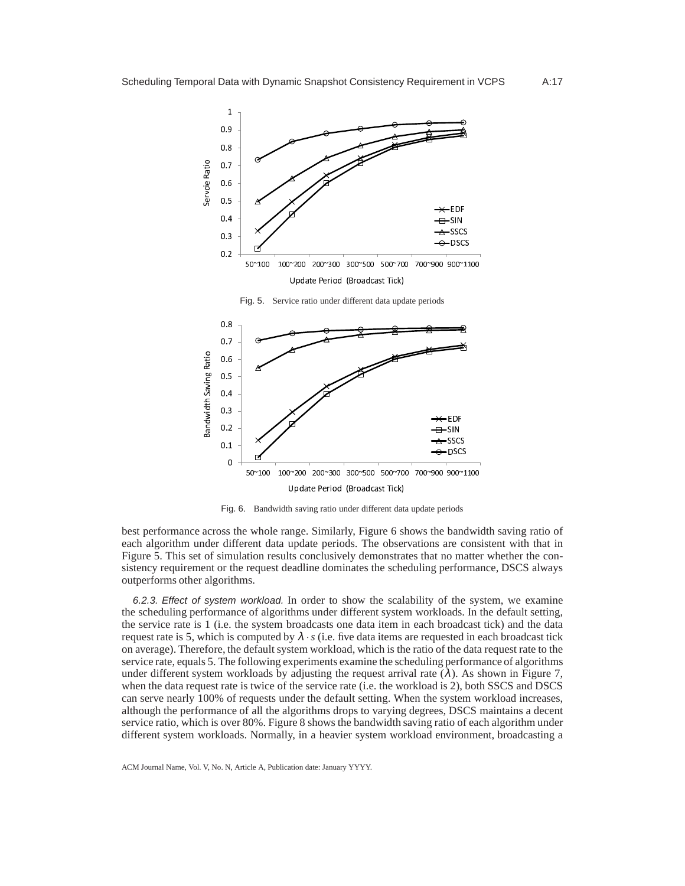

50~100 100~200 200~300 300~500 500~700 700~900 900~1100 U <sup>p</sup> <sup>d</sup> <sup>a</sup> <sup>t</sup> <sup>e</sup> <sup>P</sup> <sup>e</sup> <sup>r</sup> i o <sup>d</sup> ( <sup>B</sup> <sup>r</sup> o <sup>a</sup> <sup>d</sup> <sup>c</sup> <sup>a</sup> <sup>s</sup> <sup>t</sup> <sup>T</sup> <sup>i</sup> c <sup>k</sup> )

Fig. 6. Bandwidth saving ratio under different data update periods

best performance across the whole range. Similarly, Figure 6 shows the bandwidth saving ratio of each algorithm under different data update periods. The observations are consistent with that in Figure 5. This set of simulation results conclusively demonstrates that no matter whether the consistency requirement or the request deadline dominates the scheduling performance, DSCS always outperforms other algorithms.

6.2.3. Effect of system workload. In order to show the scalability of the system, we examine the scheduling performance of algorithms under different system workloads. In the default setting, the service rate is 1 (i.e. the system broadcasts one data item in each broadcast tick) and the data request rate is 5, which is computed by  $\lambda \cdot s$  (i.e. five data items are requested in each broadcast tick on average). Therefore, the default system workload, which is the ratio of the data request rate to the service rate, equals 5. The following experiments examine the scheduling performance of algorithms under different system workloads by adjusting the request arrival rate  $(\lambda)$ . As shown in Figure 7, when the data request rate is twice of the service rate (i.e. the workload is 2), both SSCS and DSCS can serve nearly 100% of requests under the default setting. When the system workload increases, although the performance of all the algorithms drops to varying degrees, DSCS maintains a decent service ratio, which is over 80%. Figure 8 shows the bandwidth saving ratio of each algorithm under different system workloads. Normally, in a heavier system workload environment, broadcasting a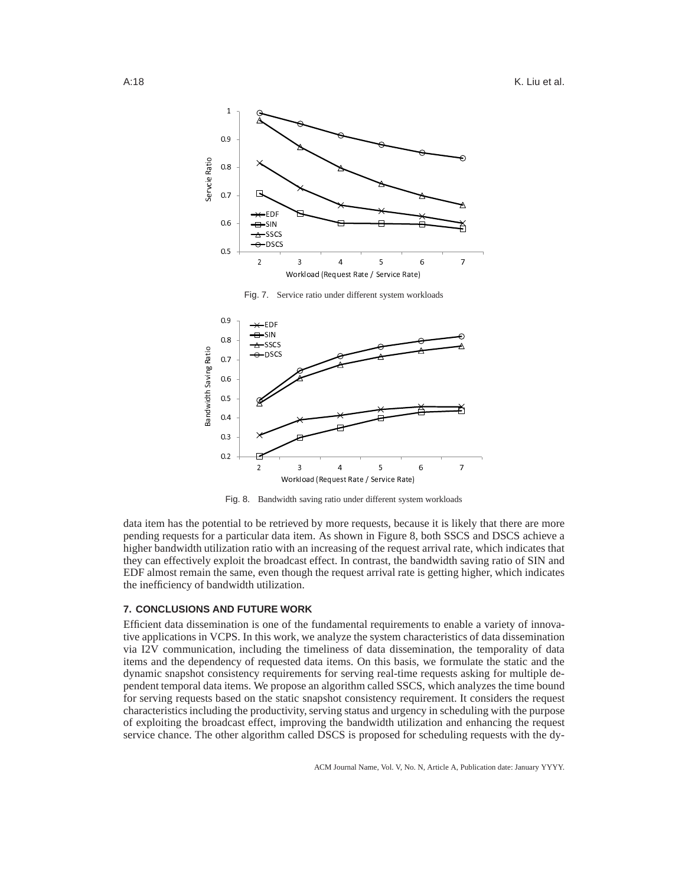



Fig. 8. Bandwidth saving ratio under different system workloads

data item has the potential to be retrieved by more requests, because it is likely that there are more pending requests for a particular data item. As shown in Figure 8, both SSCS and DSCS achieve a higher bandwidth utilization ratio with an increasing of the request arrival rate, which indicates that they can effectively exploit the broadcast effect. In contrast, the bandwidth saving ratio of SIN and EDF almost remain the same, even though the request arrival rate is getting higher, which indicates the inefficiency of bandwidth utilization.

# **7. CONCLUSIONS AND FUTURE WORK**

Efficient data dissemination is one of the fundamental requirements to enable a variety of innovative applications in VCPS. In this work, we analyze the system characteristics of data dissemination via I2V communication, including the timeliness of data dissemination, the temporality of data items and the dependency of requested data items. On this basis, we formulate the static and the dynamic snapshot consistency requirements for serving real-time requests asking for multiple dependent temporal data items. We propose an algorithm called SSCS, which analyzes the time bound for serving requests based on the static snapshot consistency requirement. It considers the request characteristics including the productivity, serving status and urgency in scheduling with the purpose of exploiting the broadcast effect, improving the bandwidth utilization and enhancing the request service chance. The other algorithm called DSCS is proposed for scheduling requests with the dy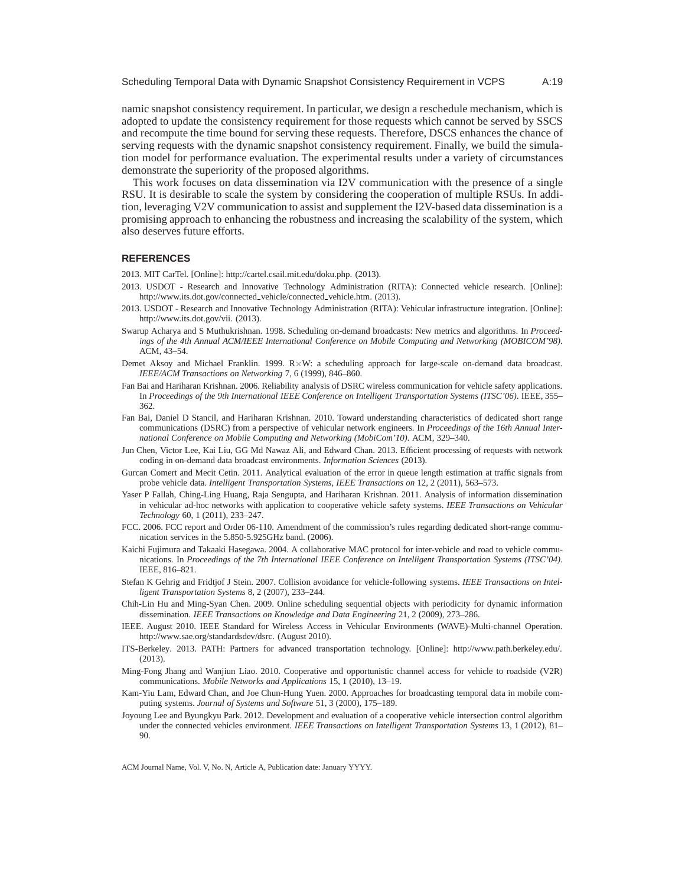namic snapshot consistency requirement. In particular, we design a reschedule mechanism, which is adopted to update the consistency requirement for those requests which cannot be served by SSCS and recompute the time bound for serving these requests. Therefore, DSCS enhances the chance of serving requests with the dynamic snapshot consistency requirement. Finally, we build the simulation model for performance evaluation. The experimental results under a variety of circumstances demonstrate the superiority of the proposed algorithms.

This work focuses on data dissemination via I2V communication with the presence of a single RSU. It is desirable to scale the system by considering the cooperation of multiple RSUs. In addition, leveraging V2V communication to assist and supplement the I2V-based data dissemination is a promising approach to enhancing the robustness and increasing the scalability of the system, which also deserves future efforts.

# **REFERENCES**

2013. MIT CarTel. [Online]: http://cartel.csail.mit.edu/doku.php. (2013).

- 2013. USDOT Research and Innovative Technology Administration (RITA): Connected vehicle research. [Online]: http://www.its.dot.gov/connected vehicle/connected vehicle.htm. (2013).
- 2013. USDOT Research and Innovative Technology Administration (RITA): Vehicular infrastructure integration. [Online]: http://www.its.dot.gov/vii. (2013).
- Swarup Acharya and S Muthukrishnan. 1998. Scheduling on-demand broadcasts: New metrics and algorithms. In *Proceedings of the 4th Annual ACM/IEEE International Conference on Mobile Computing and Networking (MOBICOM'98)*. ACM, 43–54.
- Demet Aksoy and Michael Franklin. 1999. R×W: a scheduling approach for large-scale on-demand data broadcast. *IEEE/ACM Transactions on Networking* 7, 6 (1999), 846–860.
- Fan Bai and Hariharan Krishnan. 2006. Reliability analysis of DSRC wireless communication for vehicle safety applications. In *Proceedings of the 9th International IEEE Conference on Intelligent Transportation Systems (ITSC'06)*. IEEE, 355– 362.
- Fan Bai, Daniel D Stancil, and Hariharan Krishnan. 2010. Toward understanding characteristics of dedicated short range communications (DSRC) from a perspective of vehicular network engineers. In *Proceedings of the 16th Annual International Conference on Mobile Computing and Networking (MobiCom'10)*. ACM, 329–340.
- Jun Chen, Victor Lee, Kai Liu, GG Md Nawaz Ali, and Edward Chan. 2013. Efficient processing of requests with network coding in on-demand data broadcast environments. *Information Sciences* (2013).
- Gurcan Comert and Mecit Cetin. 2011. Analytical evaluation of the error in queue length estimation at traffic signals from probe vehicle data. *Intelligent Transportation Systems, IEEE Transactions on* 12, 2 (2011), 563–573.
- Yaser P Fallah, Ching-Ling Huang, Raja Sengupta, and Hariharan Krishnan. 2011. Analysis of information dissemination in vehicular ad-hoc networks with application to cooperative vehicle safety systems. *IEEE Transactions on Vehicular Technology* 60, 1 (2011), 233–247.
- FCC. 2006. FCC report and Order 06-110. Amendment of the commission's rules regarding dedicated short-range communication services in the 5.850-5.925GHz band. (2006).
- Kaichi Fujimura and Takaaki Hasegawa. 2004. A collaborative MAC protocol for inter-vehicle and road to vehicle communications. In *Proceedings of the 7th International IEEE Conference on Intelligent Transportation Systems (ITSC'04)*. IEEE, 816–821.
- Stefan K Gehrig and Fridtjof J Stein. 2007. Collision avoidance for vehicle-following systems. *IEEE Transactions on Intelligent Transportation Systems* 8, 2 (2007), 233–244.
- Chih-Lin Hu and Ming-Syan Chen. 2009. Online scheduling sequential objects with periodicity for dynamic information dissemination. *IEEE Transactions on Knowledge and Data Engineering* 21, 2 (2009), 273–286.
- IEEE. August 2010. IEEE Standard for Wireless Access in Vehicular Environments (WAVE)-Multi-channel Operation. http://www.sae.org/standardsdev/dsrc. (August 2010).
- ITS-Berkeley. 2013. PATH: Partners for advanced transportation technology. [Online]: http://www.path.berkeley.edu/. (2013).
- Ming-Fong Jhang and Wanjiun Liao. 2010. Cooperative and opportunistic channel access for vehicle to roadside (V2R) communications. *Mobile Networks and Applications* 15, 1 (2010), 13–19.
- Kam-Yiu Lam, Edward Chan, and Joe Chun-Hung Yuen. 2000. Approaches for broadcasting temporal data in mobile computing systems. *Journal of Systems and Software* 51, 3 (2000), 175–189.
- Joyoung Lee and Byungkyu Park. 2012. Development and evaluation of a cooperative vehicle intersection control algorithm under the connected vehicles environment. *IEEE Transactions on Intelligent Transportation Systems* 13, 1 (2012), 81– 90.